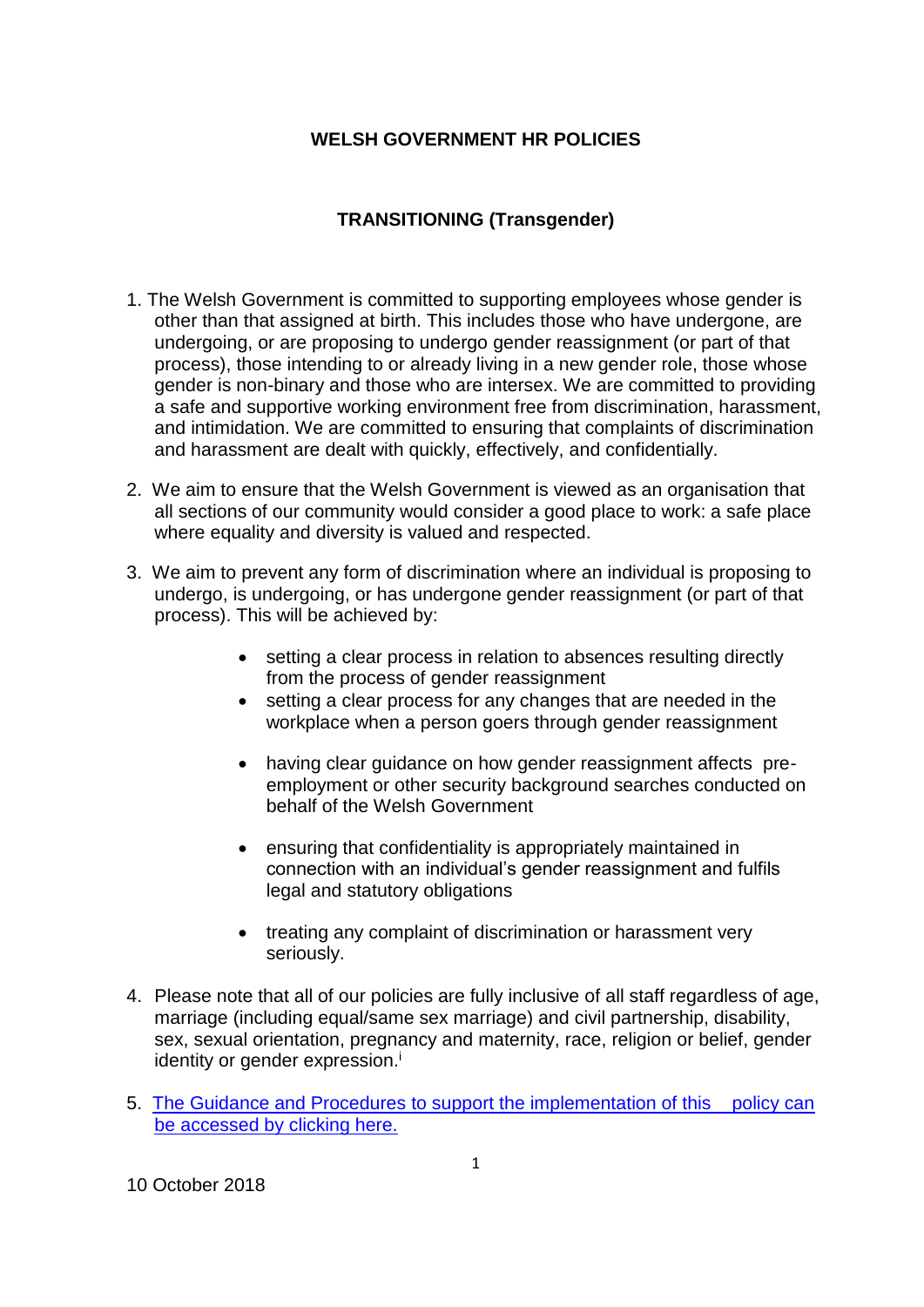## **WELSH GOVERNMENT HR POLICIES**

## **TRANSITIONING (Transgender)**

- 1. The Welsh Government is committed to supporting employees whose gender is other than that assigned at birth. This includes those who have undergone, are undergoing, or are proposing to undergo gender reassignment (or part of that process), those intending to or already living in a new gender role, those whose gender is non-binary and those who are intersex. We are committed to providing a safe and supportive working environment free from discrimination, harassment, and intimidation. We are committed to ensuring that complaints of discrimination and harassment are dealt with quickly, effectively, and confidentially.
- 2. We aim to ensure that the Welsh Government is viewed as an organisation that all sections of our community would consider a good place to work: a safe place where equality and diversity is valued and respected.
- 3. We aim to prevent any form of discrimination where an individual is proposing to undergo, is undergoing, or has undergone gender reassignment (or part of that process). This will be achieved by:
	- setting a clear process in relation to absences resulting directly from the process of gender reassignment
	- setting a clear process for any changes that are needed in the workplace when a person goers through gender reassignment
	- having clear guidance on how gender reassignment affects preemployment or other security background searches conducted on behalf of the Welsh Government
	- ensuring that confidentiality is appropriately maintained in connection with an individual's gender reassignment and fulfils legal and statutory obligations
	- treating any complaint of discrimination or harassment very seriously.
- 4. Please note that all of our policies are fully inclusive of all staff regardless of age, marriage (including equal/same sex marriage) and civil partnership, disability, sex, sexual orientation, pregnancy and maternity, race, religion or belief, gender identity or gender expression.<sup>i</sup>
- 5. [The Guidance and Procedures to support the implementation of this policy can](https://documents.hf.wales.gov.uk/id:A15554097/document/versions/published)  [be accessed by clicking here.](https://documents.hf.wales.gov.uk/id:A15554097/document/versions/published)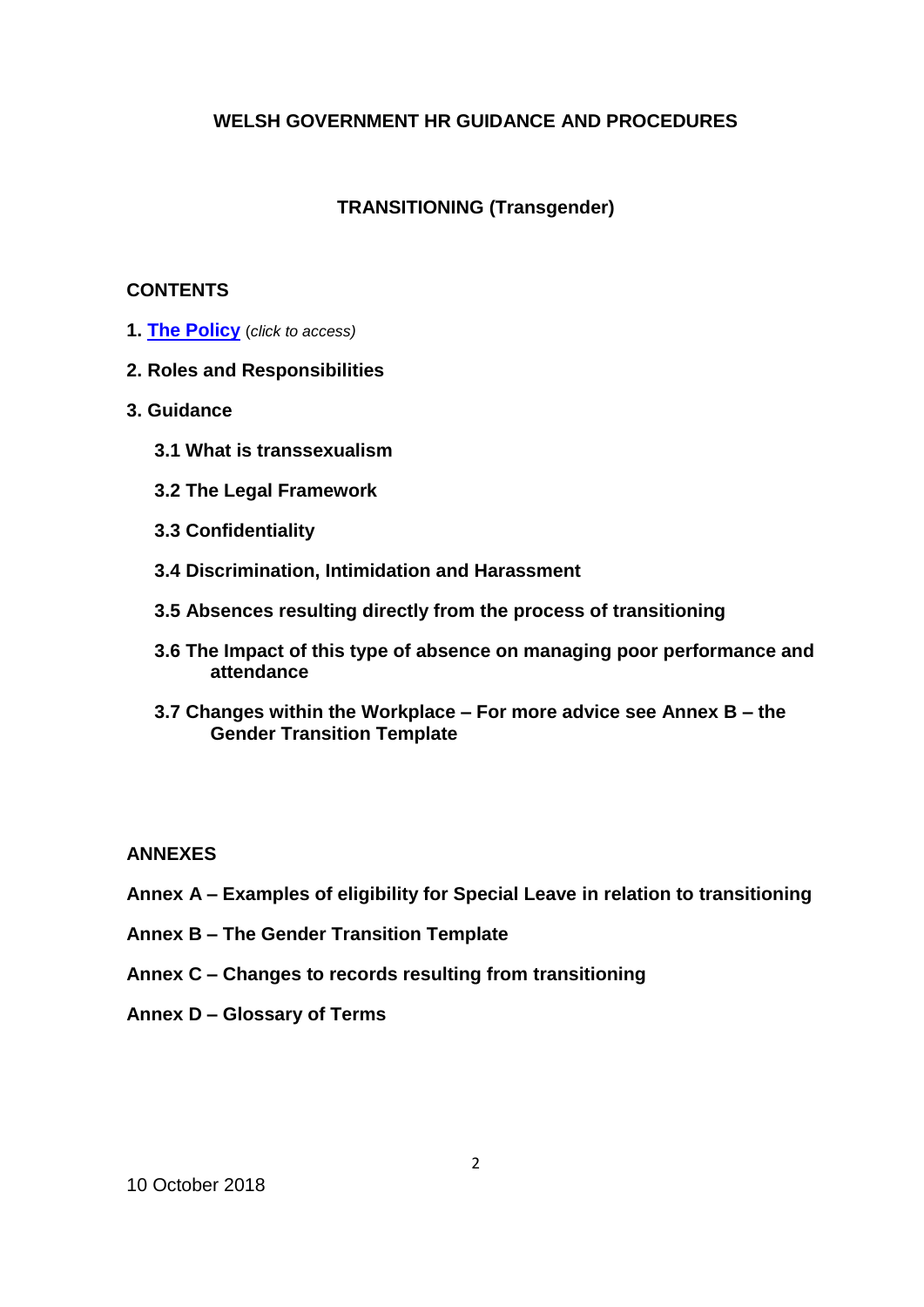## **WELSH GOVERNMENT HR GUIDANCE AND PROCEDURES**

### **TRANSITIONING (Transgender)**

### **CONTENTS**

- **1. [The Policy](https://documents.hf.wales.gov.uk/id:A13398006)** (*click to access)*
- **2. Roles and Responsibilities**
- **3. Guidance**
	- **3.1 What is transsexualism**
	- **3.2 The Legal Framework**
	- **3.3 Confidentiality**
	- **3.4 Discrimination, Intimidation and Harassment**
	- **3.5 Absences resulting directly from the process of transitioning**
	- **3.6 The Impact of this type of absence on managing poor performance and attendance**
	- **3.7 Changes within the Workplace – For more advice see Annex B – the Gender Transition Template**

#### **ANNEXES**

- **Annex A – Examples of eligibility for Special Leave in relation to transitioning**
- **Annex B – The Gender Transition Template**
- **Annex C – Changes to records resulting from transitioning**
- **Annex D – Glossary of Terms**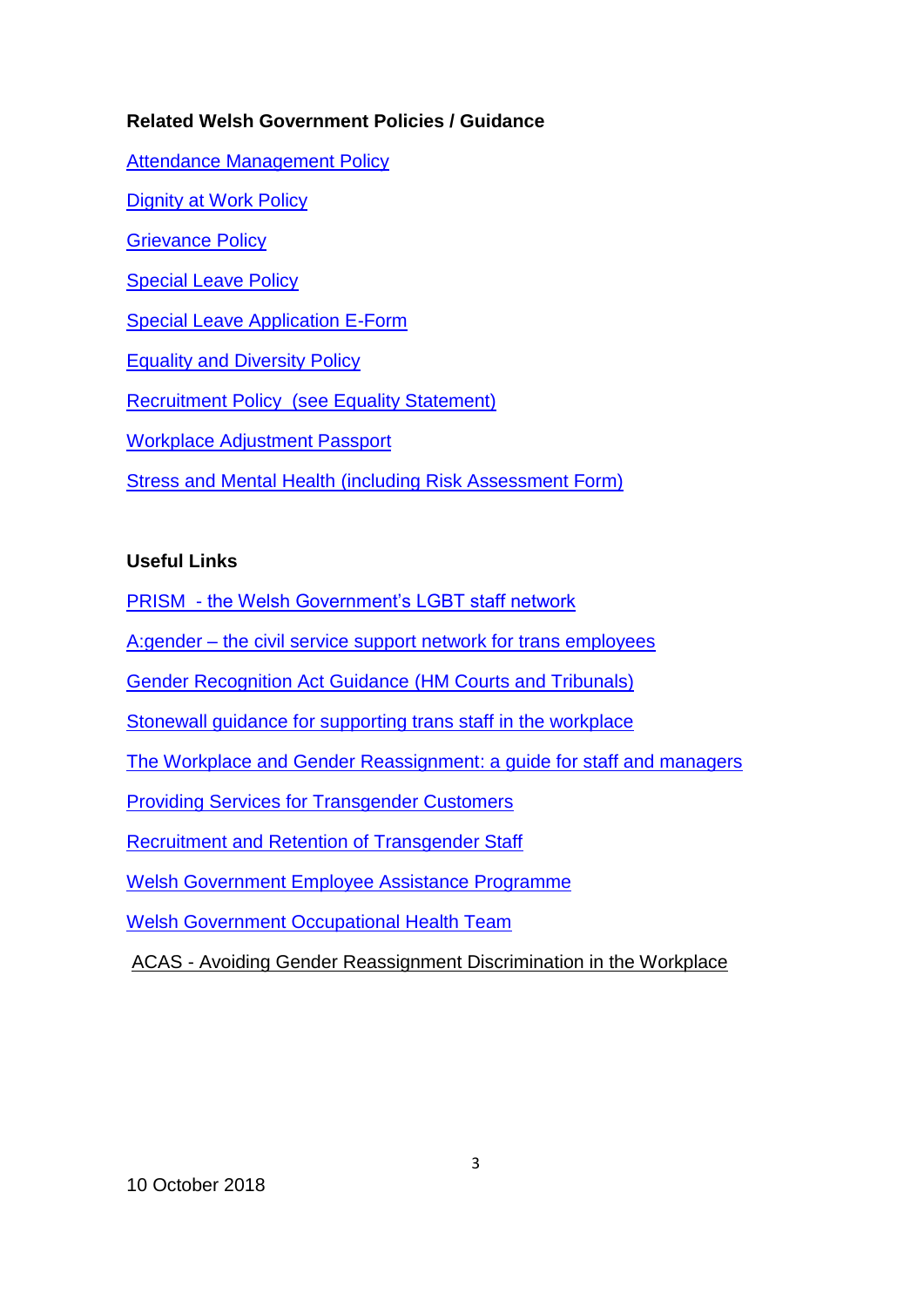## **Related Welsh Government Policies / Guidance**

[Attendance Management Policy](https://documents.hf.wales.gov.uk/id:A626416) [Dignity at Work Policy](https://documents.hf.wales.gov.uk/xclient/id:A629510) [Grievance Policy](https://documents.hf.wales.gov.uk/xclient/id:A631300) [Special Leave Policy](https://documents.hf.wales.gov.uk/xclient/id:A628328) [Special Leave Application E-Form](http://crmtools2011/DD2011/Runtime.aspx?wizardid=WIZ-32907-01749&pageid=PGE-08113-01750&instanceid=d8495ab6-dccf-42ad-a706-24ef6dae471c&instancetypename=&orgname=&etc=) [Equality and Diversity Policy](https://documents.hf.wales.gov.uk/xclient/id:A630382) [Recruitment Policy \(see Equality Statement\)](https://documents.hf.wales.gov.uk/xclient/id:A655615) [Workplace Adjustment Passport](https://documents.hf.wales.gov.uk/id:A12242608) Stress and Mental Health [\(including Risk Assessment Form\)](https://intranet/English/People/HealthSafetyWellbeing/OccupationalHealth/Pages/StressMentalHealth.aspx)

### **Useful Links**

PRISM - [the Welsh Government's LGBT staff network](https://intranet/english/aboutus/equalitydiversity/diversitynetworks/prism/Pages/Welcome.aspx)

A:gender – [the civil service support network for trans employees](http://www.agender.org.uk/)

[Gender Recognition Act Guidance](http://formfinder.hmctsformfinder.justice.gov.uk/t455-eng.pdf) (HM Courts and Tribunals)

Stonewall [guidance for supporting trans staff in the workplace](http://www.stonewall.org.uk/supporting-trans-staff-workplace) 

[The Workplace and Gender Reassignment: a guide for staff and managers](https://documents.hf.wales.gov.uk/id:A19939532/document/versions/published)

[Providing Services for Transgender Customers](https://www.gov.uk/government/uploads/system/uploads/attachment_data/file/484857/Providing_services_for_transgender_customers-a_guide.pdf)

[Recruitment and Retention of Transgender Staff](https://www.gov.uk/government/uploads/system/uploads/attachment_data/file/484855/The_recruitment_and_retention_of_transgender_staff-_guidance_for_employers.pdf)

[Welsh Government Employee Assistance Programme](https://intranet/English/People/HealthSafetyWellbeing/YouYourWellbeing/Pages/EmployeeAssistanceProgramme.aspx)

[Welsh Government Occupational Health Team](https://intranet/english/people/HealthSafetyWellbeing/OccupationalHealth/Pages/Welcome.aspx)

ACAS - [Avoiding Gender Reassignment Discrimination in the Workplace](http://www.acas.org.uk/index.aspx?articleid=5488)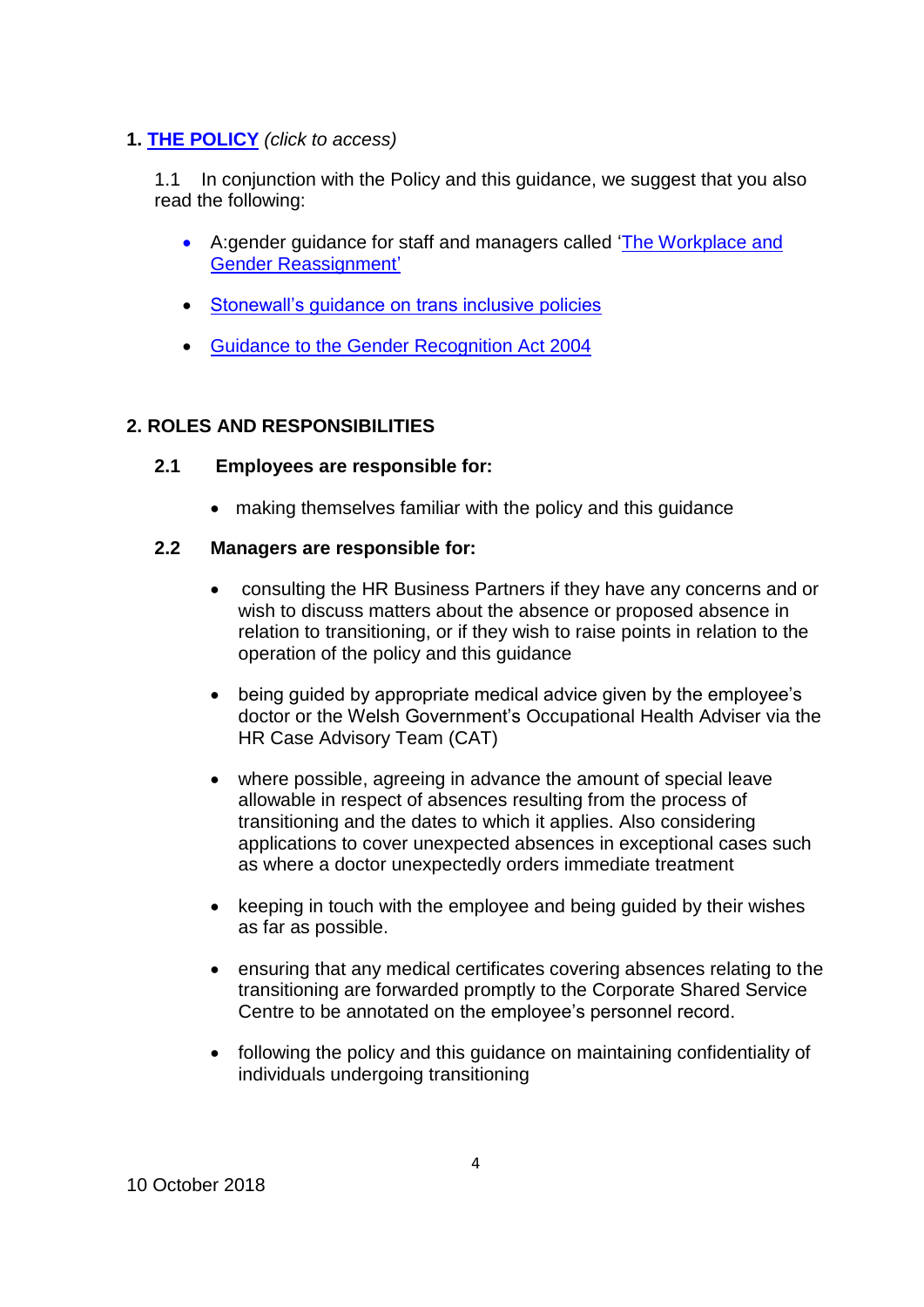### **1. [THE POLICY](https://documents.hf.wales.gov.uk/id:A13398006)** *(click to access)*

1.1 In conjunction with the Policy and this guidance, we suggest that you also read the following:

- A:gender guidance for staff and managers called ['The Workplace and](https://documents.hf.wales.gov.uk/id:A19939532/document/versions/published)  [Gender Reassignment'](https://documents.hf.wales.gov.uk/id:A19939532/document/versions/published)
- [Stonewall's guidance on trans inclusive policies](http://www.stonewall.org.uk/supporting-trans-staff-workplace)
- [Guidance to the Gender Recognition Act 2004](http://formfinder.hmctsformfinder.justice.gov.uk/t455-eng.pdf)

### **2. ROLES AND RESPONSIBILITIES**

### **2.1 Employees are responsible for:**

making themselves familiar with the policy and this guidance

#### **2.2 Managers are responsible for:**

- consulting the HR Business Partners if they have any concerns and or wish to discuss matters about the absence or proposed absence in relation to transitioning, or if they wish to raise points in relation to the operation of the policy and this guidance
- being guided by appropriate medical advice given by the employee's doctor or the Welsh Government's Occupational Health Adviser via the HR Case Advisory Team (CAT)
- where possible, agreeing in advance the amount of special leave allowable in respect of absences resulting from the process of transitioning and the dates to which it applies. Also considering applications to cover unexpected absences in exceptional cases such as where a doctor unexpectedly orders immediate treatment
- keeping in touch with the employee and being guided by their wishes as far as possible.
- ensuring that any medical certificates covering absences relating to the transitioning are forwarded promptly to the Corporate Shared Service Centre to be annotated on the employee's personnel record.
- following the policy and this guidance on maintaining confidentiality of individuals undergoing transitioning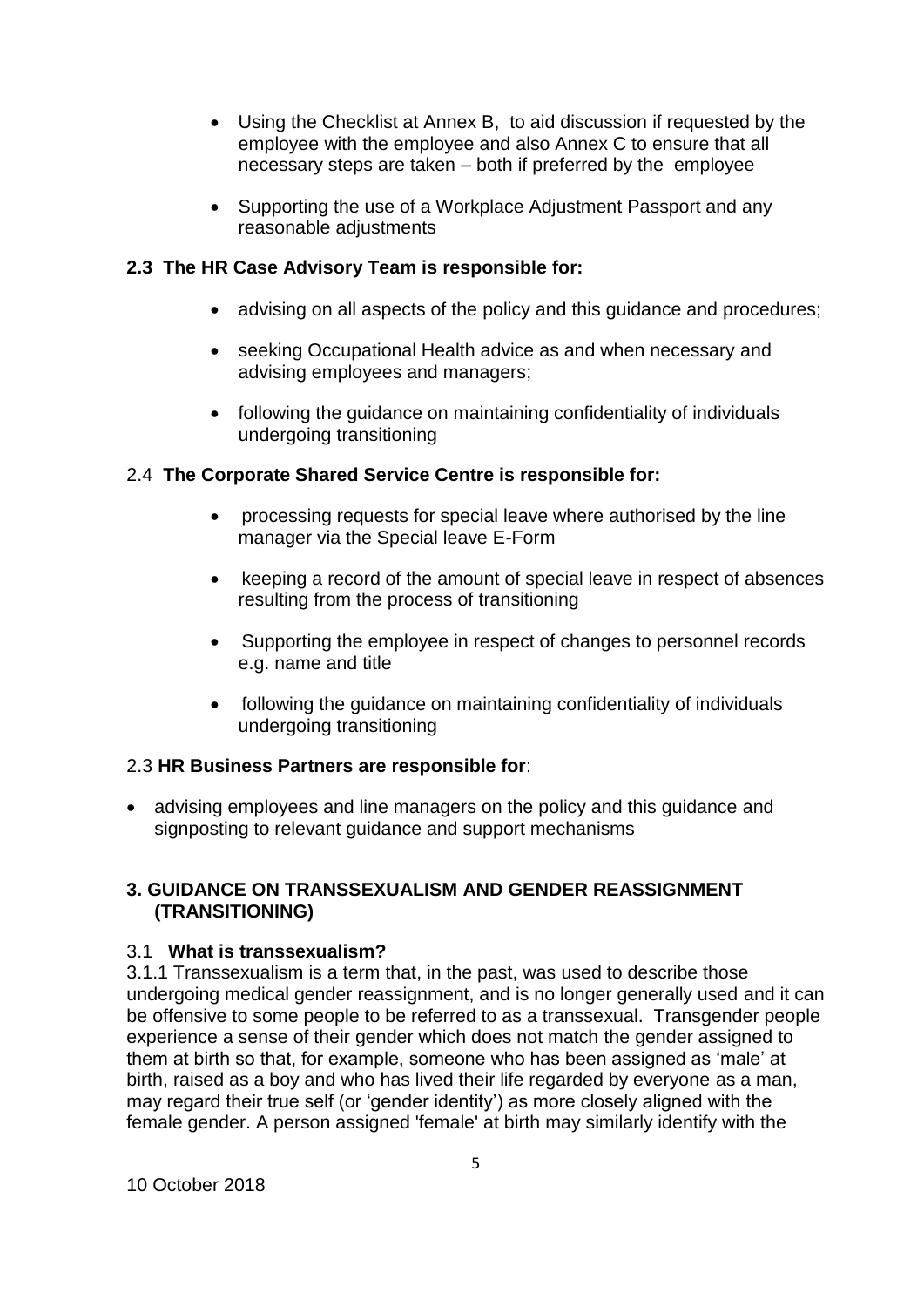- Using the Checklist at Annex B, to aid discussion if requested by the employee with the employee and also Annex C to ensure that all necessary steps are taken – both if preferred by the employee
- Supporting the use of a Workplace Adjustment Passport and any reasonable adjustments

## **2.3 The HR Case Advisory Team is responsible for:**

- advising on all aspects of the policy and this guidance and procedures;
- seeking Occupational Health advice as and when necessary and advising employees and managers;
- following the guidance on maintaining confidentiality of individuals undergoing transitioning

### 2.4 **The Corporate Shared Service Centre is responsible for:**

- processing requests for special leave where authorised by the line manager via the Special leave E-Form
- keeping a record of the amount of special leave in respect of absences resulting from the process of transitioning
- Supporting the employee in respect of changes to personnel records e.g. name and title
- following the guidance on maintaining confidentiality of individuals undergoing transitioning

### 2.3 **HR Business Partners are responsible for**:

 advising employees and line managers on the policy and this guidance and signposting to relevant guidance and support mechanisms

### **3. GUIDANCE ON TRANSSEXUALISM AND GENDER REASSIGNMENT (TRANSITIONING)**

### 3.1 **What is transsexualism?**

3.1.1 Transsexualism is a term that, in the past, was used to describe those undergoing medical gender reassignment, and is no longer generally used and it can be offensive to some people to be referred to as a transsexual. Transgender people experience a sense of their gender which does not match the gender assigned to them at birth so that, for example, someone who has been assigned as 'male' at birth, raised as a boy and who has lived their life regarded by everyone as a man, may regard their true self (or 'gender identity') as more closely aligned with the female gender. A person assigned 'female' at birth may similarly identify with the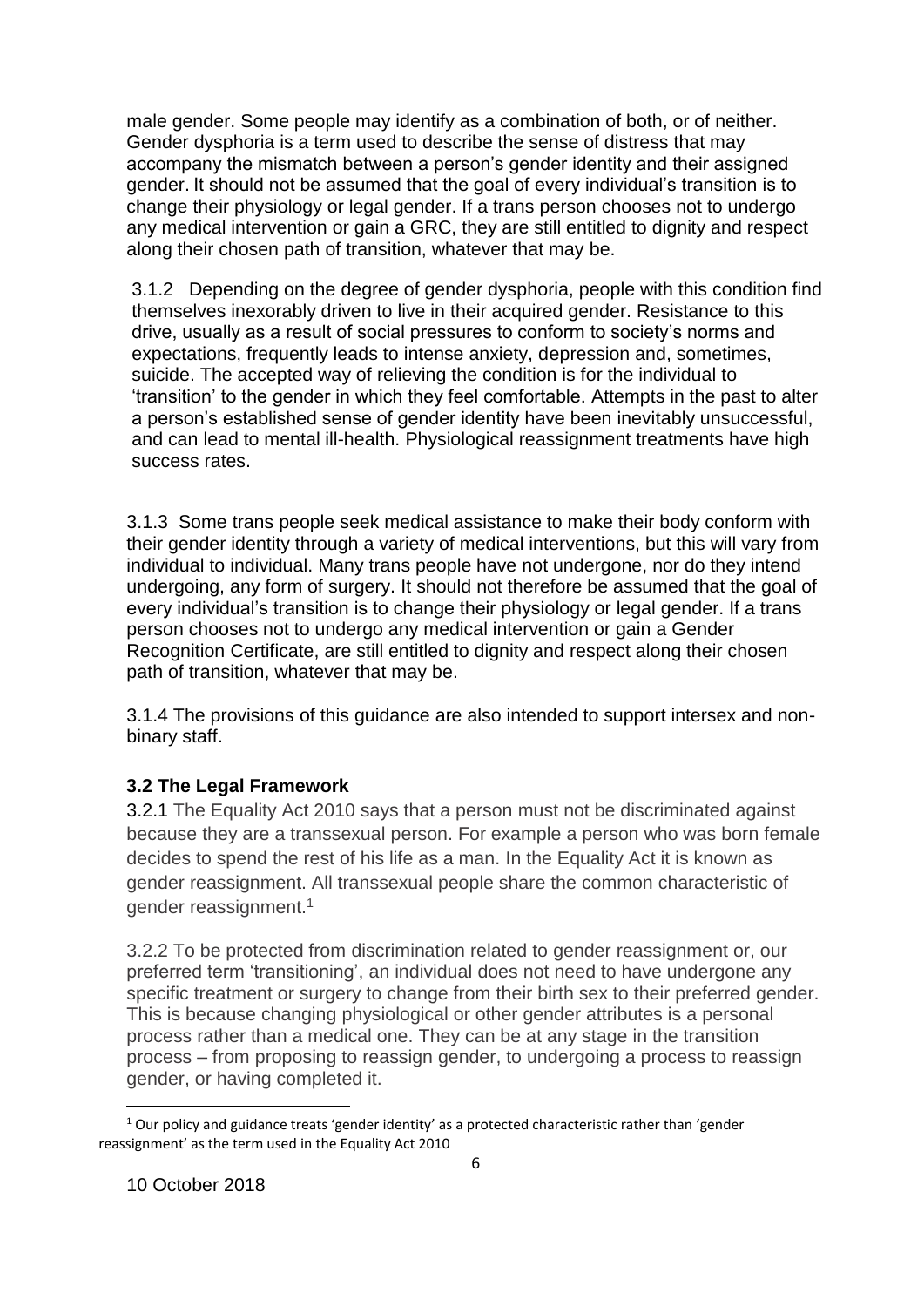male gender. Some people may identify as a combination of both, or of neither. Gender dysphoria is a term used to describe the sense of distress that may accompany the mismatch between a person's gender identity and their assigned gender. It should not be assumed that the goal of every individual's transition is to change their physiology or legal gender. If a trans person chooses not to undergo any medical intervention or gain a GRC, they are still entitled to dignity and respect along their chosen path of transition, whatever that may be.

3.1.2 Depending on the degree of gender dysphoria, people with this condition find themselves inexorably driven to live in their acquired gender. Resistance to this drive, usually as a result of social pressures to conform to society's norms and expectations, frequently leads to intense anxiety, depression and, sometimes, suicide. The accepted way of relieving the condition is for the individual to 'transition' to the gender in which they feel comfortable. Attempts in the past to alter a person's established sense of gender identity have been inevitably unsuccessful, and can lead to mental ill-health. Physiological reassignment treatments have high success rates.

3.1.3 Some trans people seek medical assistance to make their body conform with their gender identity through a variety of medical interventions, but this will vary from individual to individual. Many trans people have not undergone, nor do they intend undergoing, any form of surgery. It should not therefore be assumed that the goal of every individual's transition is to change their physiology or legal gender. If a trans person chooses not to undergo any medical intervention or gain a Gender Recognition Certificate, are still entitled to dignity and respect along their chosen path of transition, whatever that may be.

3.1.4 The provisions of this guidance are also intended to support intersex and nonbinary staff.

## **3.2 The Legal Framework**

3.2.1 The Equality Act 2010 says that a person must not be discriminated against because they are a transsexual person. For example a person who was born female decides to spend the rest of his life as a man. In the Equality Act it is known as gender reassignment. All transsexual people share the common characteristic of gender reassignment.<sup>1</sup>

3.2.2 To be protected from discrimination related to gender reassignment or, our preferred term 'transitioning', an individual does not need to have undergone any specific treatment or surgery to change from their birth sex to their preferred gender. This is because changing physiological or other gender attributes is a personal process rather than a medical one. They can be at any stage in the transition process – from proposing to reassign gender, to undergoing a process to reassign gender, or having completed it.

 $\overline{a}$ 

<sup>&</sup>lt;sup>1</sup> Our policy and guidance treats 'gender identity' as a protected characteristic rather than 'gender reassignment' as the term used in the Equality Act 2010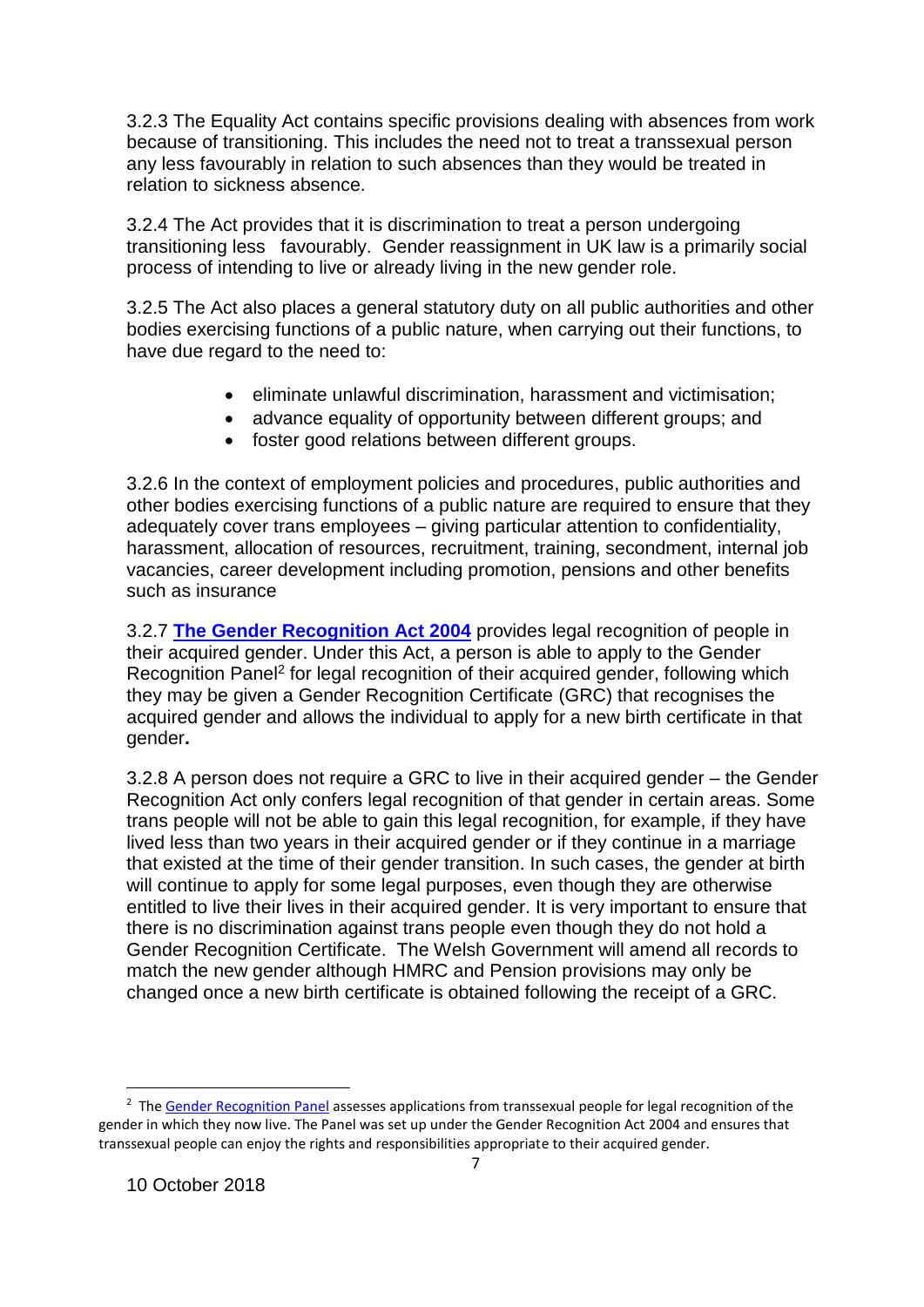3.2.3 The Equality Act contains specific provisions dealing with absences from work because of transitioning. This includes the need not to treat a transsexual person any less favourably in relation to such absences than they would be treated in relation to sickness absence.

3.2.4 The Act provides that it is discrimination to treat a person undergoing transitioning less favourably. Gender reassignment in UK law is a primarily social process of intending to live or already living in the new gender role.

3.2.5 The Act also places a general statutory duty on all public authorities and other bodies exercising functions of a public nature, when carrying out their functions, to have due regard to the need to:

- eliminate unlawful discrimination, harassment and victimisation;
- advance equality of opportunity between different groups; and
- foster good relations between different groups.

3.2.6 In the context of employment policies and procedures, public authorities and other bodies exercising functions of a public nature are required to ensure that they adequately cover trans employees – giving particular attention to confidentiality, harassment, allocation of resources, recruitment, training, secondment, internal job vacancies, career development including promotion, pensions and other benefits such as insurance

3.2.7 **[The Gender Recognition Act 2004](http://www.legislation.gov.uk/ukpga/2004/7/contents)** provides legal recognition of people in their acquired gender. Under this Act, a person is able to apply to the Gender Recognition Panel<sup>2</sup> for legal recognition of their acquired gender, following which they may be given a Gender Recognition Certificate (GRC) that recognises the acquired gender and allows the individual to apply for a new birth certificate in that gender**.**

3.2.8 A person does not require a GRC to live in their acquired gender – the Gender Recognition Act only confers legal recognition of that gender in certain areas. Some trans people will not be able to gain this legal recognition, for example, if they have lived less than two years in their acquired gender or if they continue in a marriage that existed at the time of their gender transition. In such cases, the gender at birth will continue to apply for some legal purposes, even though they are otherwise entitled to live their lives in their acquired gender. It is very important to ensure that there is no discrimination against trans people even though they do not hold a Gender Recognition Certificate. The Welsh Government will amend all records to match the new gender although HMRC and Pension provisions may only be changed once a new birth certificate is obtained following the receipt of a GRC.

 $\overline{a}$ 

<sup>&</sup>lt;sup>2</sup> The [Gender Recognition Panel](https://www.gov.uk/apply-gender-recognition-certificate/how-to-apply) assesses applications from transsexual people for legal recognition of the gender in which they now live. The Panel was set up under the Gender Recognition Act 2004 and ensures that transsexual people can enjoy the rights and responsibilities appropriate to their acquired gender.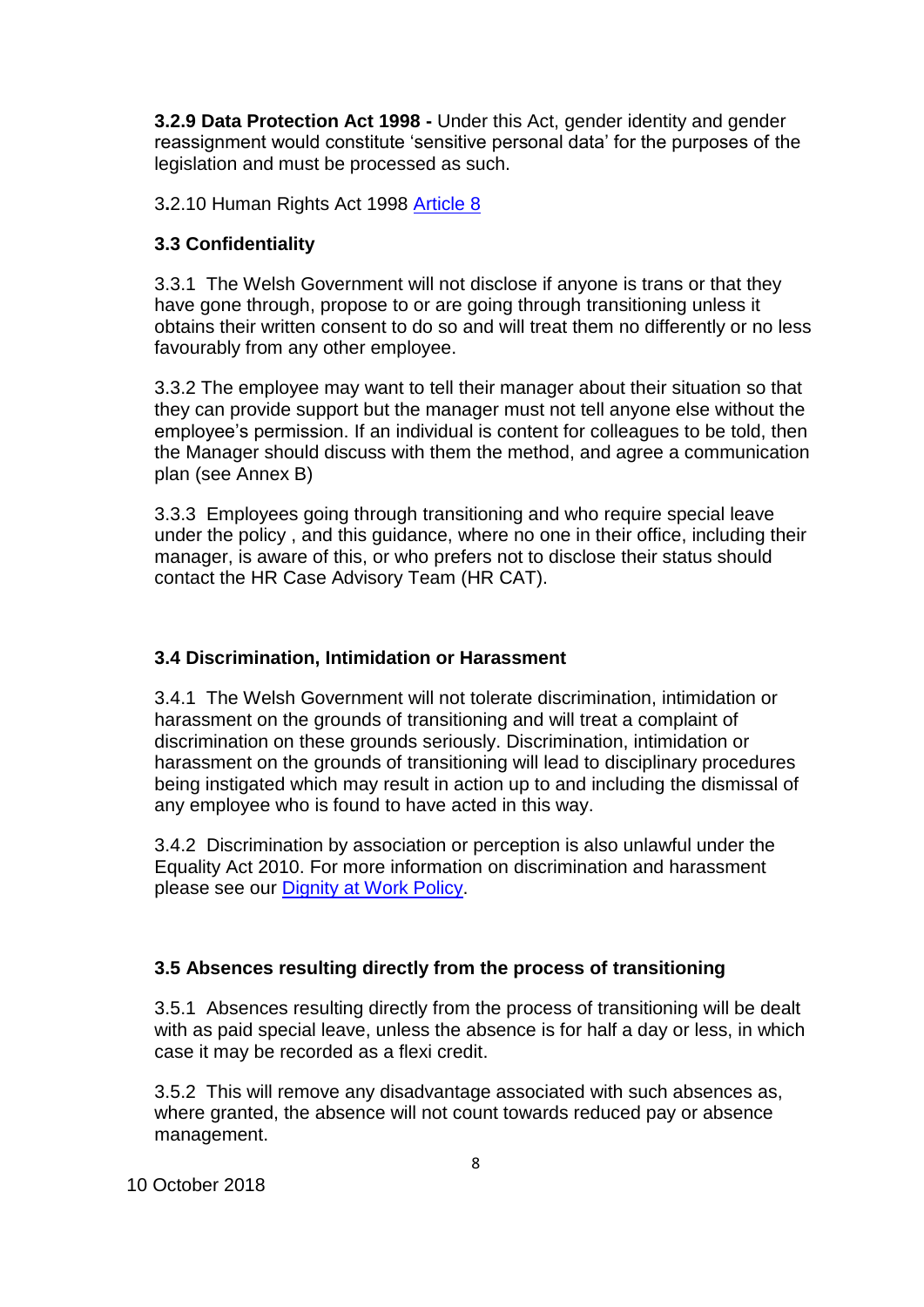**3.2.9 Data Protection Act 1998 -** Under this Act, gender identity and gender reassignment would constitute 'sensitive personal data' for the purposes of the legislation and must be processed as such.

3**.**2.10 Human Rights Act 1998 [Article 8](https://www.equalityhumanrights.com/en/human-rights-act/article-8-respect-your-private-and-family-life)

### **3.3 Confidentiality**

3.3.1 The Welsh Government will not disclose if anyone is trans or that they have gone through, propose to or are going through transitioning unless it obtains their written consent to do so and will treat them no differently or no less favourably from any other employee.

3.3.2 The employee may want to tell their manager about their situation so that they can provide support but the manager must not tell anyone else without the employee's permission. If an individual is content for colleagues to be told, then the Manager should discuss with them the method, and agree a communication plan (see Annex B)

3.3.3 Employees going through transitioning and who require special leave under the policy , and this guidance, where no one in their office, including their manager, is aware of this, or who prefers not to disclose their status should contact the HR Case Advisory Team (HR CAT).

### **3.4 Discrimination, Intimidation or Harassment**

3.4.1 The Welsh Government will not [tolerate discrimination, intimidation or](http://intranet.active.hmrci/hrlg/hrl/hrg3/hrg3_1.htm)  [harassment on the grounds of transitioning](http://intranet.active.hmrci/hrlg/hrl/hrg3/hrg3_1.htm) and will treat a complaint of discrimination on these grounds seriously. Discrimination, intimidation or harassment on the grounds of transitioning will lead to disciplinary procedures being instigated which may result in action up to and including the dismissal of any employee who is found to have acted in this way.

3.4.2 Discrimination by association or perception is also unlawful under the Equality Act 2010. For more information on discrimination and harassment please see our [Dignity at Work Policy.](https://documents.hf.wales.gov.uk/xclient/id:A629510)

### **3.5 Absences resulting directly from the process of transitioning**

3.5.1 Absences resulting directly from the process of transitioning will be dealt with as paid special leave, unless the absence is for half a day or less, in which case it may be recorded as a flexi credit.

3.5.2 This will remove any disadvantage associated with such absences as, where granted, the absence will not count towards reduced pay or absence management.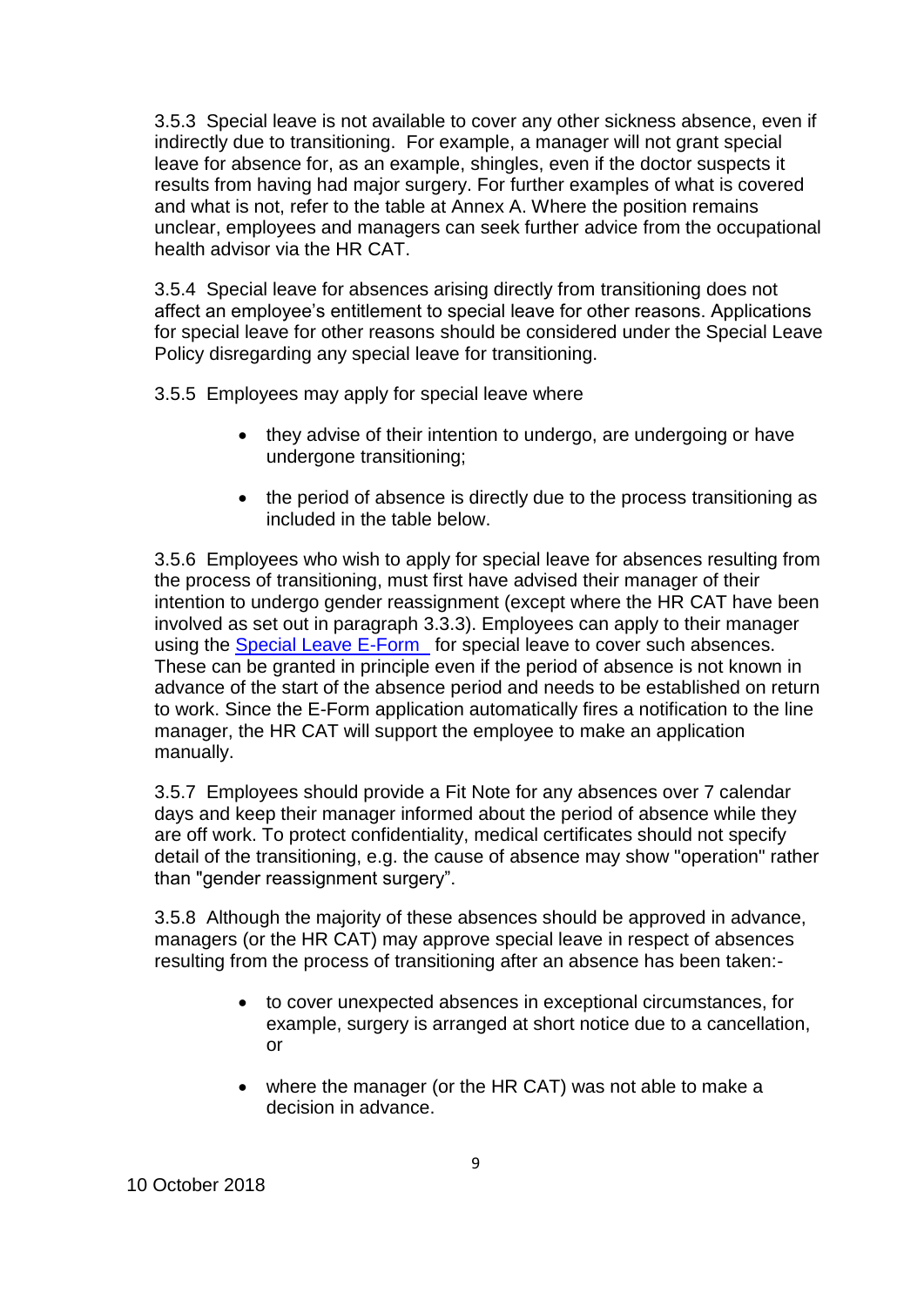3.5.3 Special leave is not available to cover any other sickness absence, even if indirectly due to transitioning. For example, a manager will not grant special leave for absence for, as an example, shingles, even if the doctor suspects it results from having had major surgery. For further examples of what is covered and what is not, refer to the table at Annex A. Where the position remains unclear, employees and managers can seek further advice from the occupational health advisor via the HR CAT

3.5.4 Special leave for absences arising directly from transitioning does not affect an employee's entitlement to special leave for other reasons. Applications for special leave for other reasons should be considered under the Special Leave Policy disregarding any special leave for transitioning.

3.5.5 Employees may apply for special leave where

- they advise of their intention to undergo, are undergoing or have undergone transitioning;
- the period of absence is directly due to the process transitioning as included in the table below.

3.5.6 Employees who wish to apply for special leave for absences resulting from the process of transitioning, must first have advised their manager of their intention to undergo gender reassignment (except where the HR CAT have been involved as set out in paragraph 3.3.3). Employees can apply to their manager using the [Special Leave E-Form](http://crmtools2011/DD2011/Runtime.aspx?wizardid=WIZ-32907-01749&pageid=PGE-08113-01750&instanceid=8d902759-9b97-436e-b9fd-8fe13b6b9f05&instancetypename=&orgname=&etc=) for special leave to cover such absences. These can be granted in principle even if the period of absence is not known in advance of the start of the absence period and needs to be established on return to work. Since the E-Form application automatically fires a notification to the line manager, the HR CAT will support the employee to make an application manually.

3.5.7 Employees should provide a Fit Note for any absences over 7 calendar days and keep their manager informed about the period of absence while they are off work. To protect confidentiality, medical certificates should not specify detail of the transitioning, e.g. the cause of absence may show "operation" rather than "gender reassignment surgery".

3.5.8 Although the majority of these absences should be approved in advance, managers (or the HR CAT) may approve special leave in respect of absences resulting from the process of transitioning after an absence has been taken:-

- to cover unexpected absences in exceptional circumstances, for example, surgery is arranged at short notice due to a cancellation, or
- where the manager (or the HR CAT) was not able to make a decision in advance.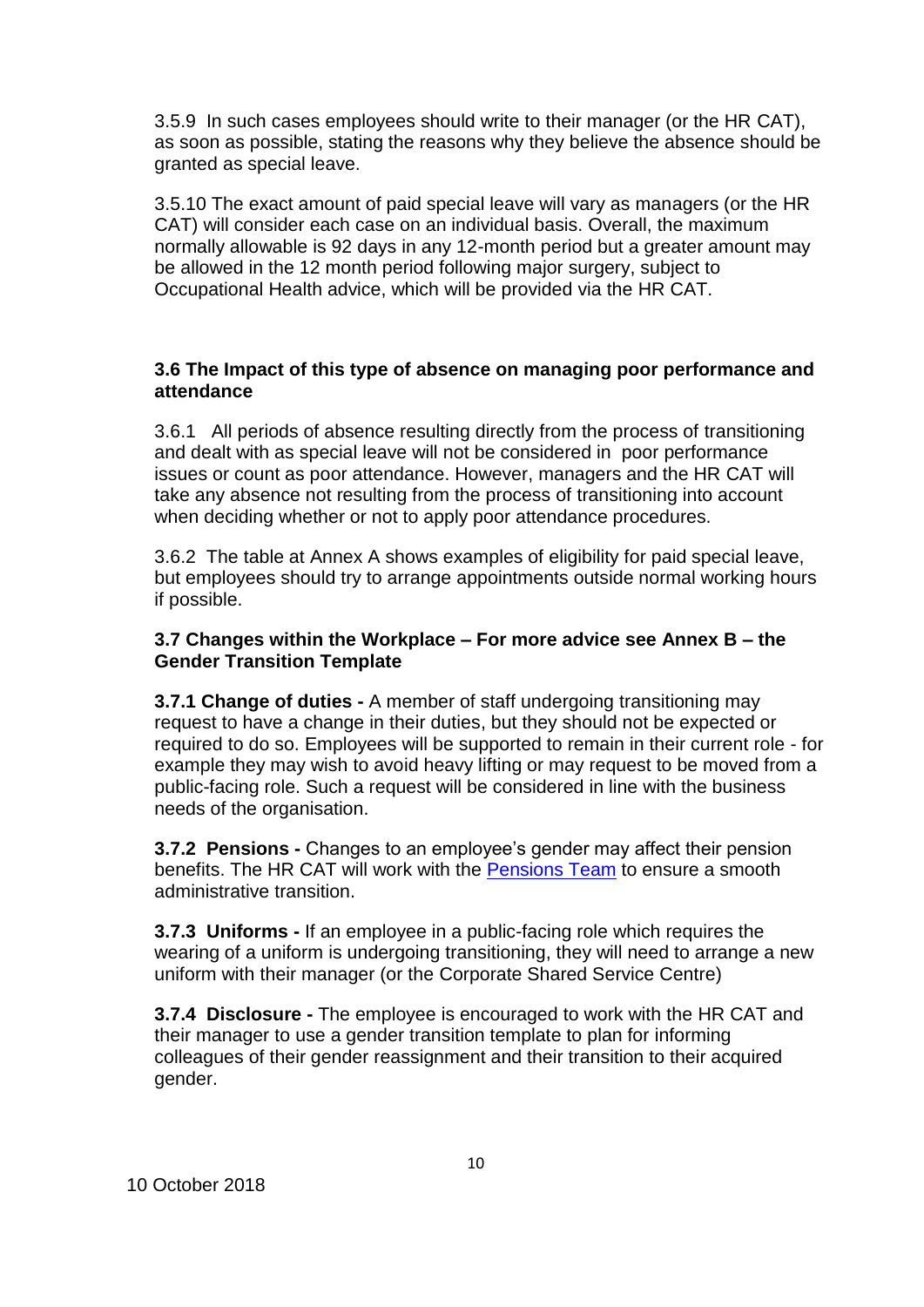3.5.9 In such cases employees should write to their manager (or the HR CAT), as soon as possible, stating the reasons why they believe the absence should be granted as special leave.

3.5.10 The exact amount of paid special leave will vary as managers (or the HR CAT) will consider each case on an individual basis. Overall, the maximum normally allowable is 92 days in any 12-month period but a greater amount may be allowed in the 12 month period following major surgery, subject to Occupational Health advice, which will be provided via the HR CAT.

### **3.6 The Impact of this type of absence on managing poor performance and attendance**

3.6.1 All periods of absence resulting directly from the process of transitioning and dealt with as special leave will not be considered in poor performance issues or count as poor attendance. However, managers and the HR CAT will take any absence not resulting from the process of transitioning into account when deciding whether or not to apply poor attendance procedures.

3.6.2 The table at Annex A shows examples of eligibility for paid special leave, but employees should try to arrange appointments outside normal working hours if possible.

### **3.7 Changes within the Workplace – For more advice see Annex B – the Gender Transition Template**

**3.7.1 Change of duties -** A member of staff undergoing transitioning may request to have a change in their duties, but they should not be expected or required to do so. Employees will be supported to remain in their current role - for example they may wish to avoid heavy lifting or may request to be moved from a public-facing role. Such a request will be considered in line with the business needs of the organisation.

**3.7.2 Pensions -** Changes to an employee's gender may affect their pension benefits. The HR CAT will work with the [Pensions T](mailto:SharedServiceHelpdesk@gov.wales)eam to ensure a smooth administrative transition.

**3.7.3 Uniforms -** If an employee in a public-facing role which requires the wearing of a uniform is undergoing transitioning, they will need to arrange a new uniform with their manager (or the Corporate Shared Service Centre)

**3.7.4 Disclosure -** The employee is encouraged to work with the HR CAT and their manager to use a gender transition template to plan for informing colleagues of their gender reassignment and their transition to their acquired gender.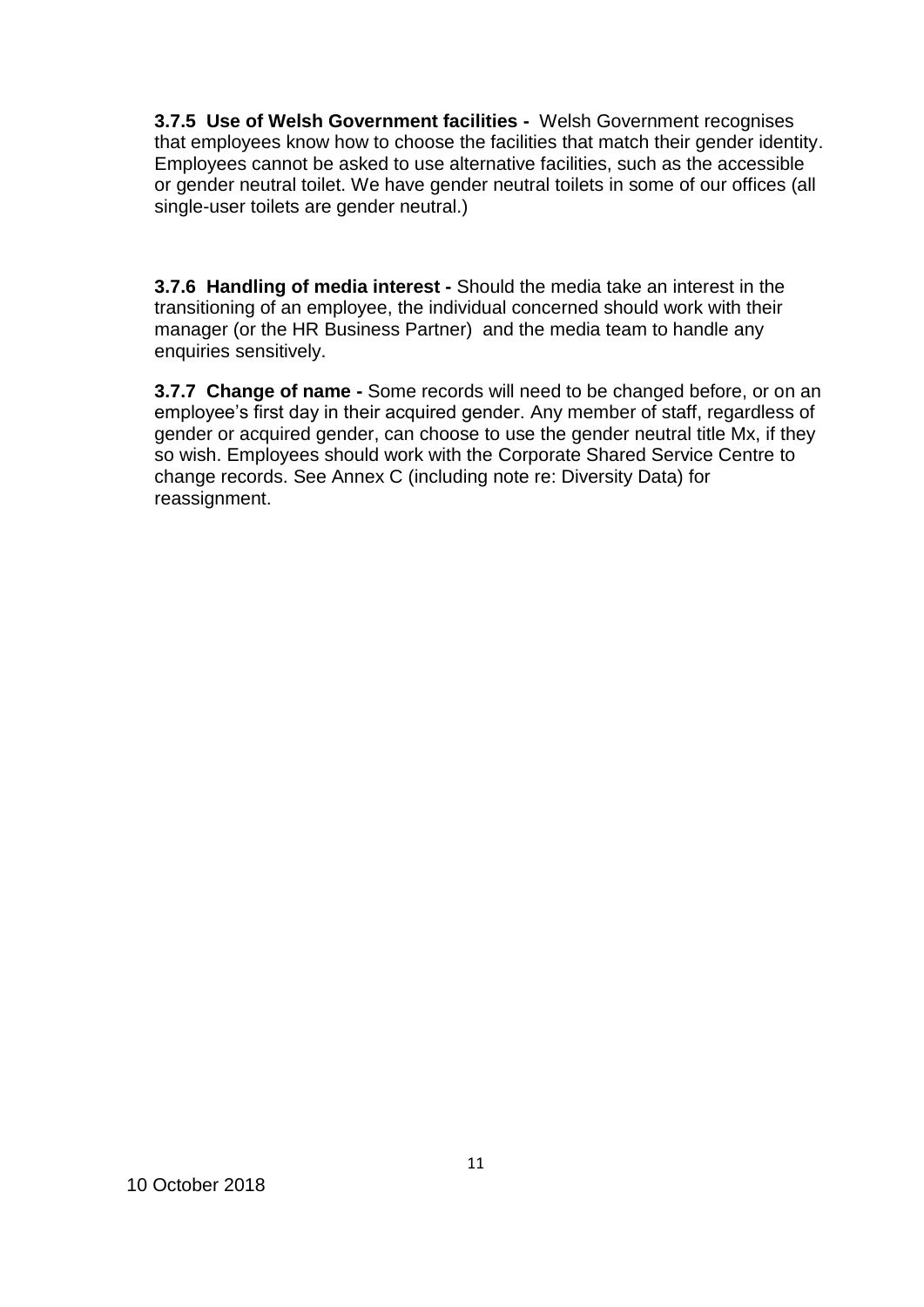**3.7.5 Use of Welsh Government facilities -** Welsh Government recognises that employees know how to choose the facilities that match their gender identity. Employees cannot be asked to use alternative facilities, such as the accessible or gender neutral toilet. We have gender neutral toilets in some of our offices (all single-user toilets are gender neutral.)

**3.7.6 Handling of media interest -** Should the media take an interest in the transitioning of an employee, the individual concerned should work with their manager (or the HR Business Partner) and the media team to handle any enquiries sensitively.

**3.7.7 Change of name -** Some records will need to be changed before, or on an employee's first day in their acquired gender. Any member of staff, regardless of gender or acquired gender, can choose to use the gender neutral title Mx, if they so wish. Employees should work with the Corporate Shared Service Centre to change records. See Annex C (including note re: Diversity Data) for reassignment.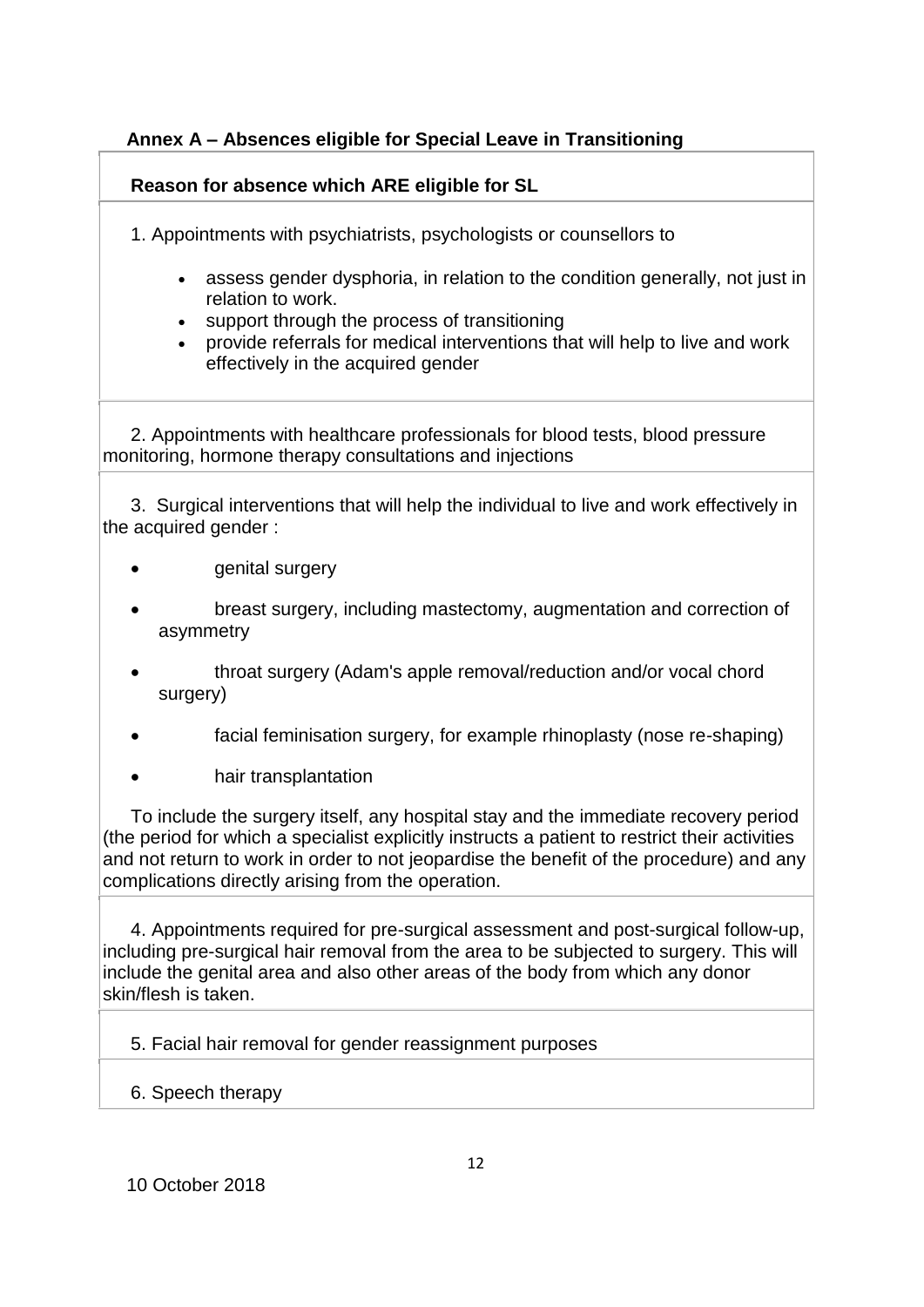## **Annex A – Absences eligible for Special Leave in Transitioning**

## **Reason for absence which ARE eligible for SL**

- 1. Appointments with psychiatrists, psychologists or counsellors to
	- assess gender dysphoria, in relation to the condition generally, not just in relation to work.
	- support through the process of transitioning
	- provide referrals for medical interventions that will help to live and work effectively in the acquired gender

2. Appointments with healthcare professionals for blood tests, blood pressure monitoring, hormone therapy consultations and injections

3. Surgical interventions that will help the individual to live and work effectively in the acquired gender :

- genital surgery
- breast surgery, including mastectomy, augmentation and correction of asymmetry
- throat surgery (Adam's apple removal/reduction and/or vocal chord surgery)
- facial feminisation surgery, for example rhinoplasty (nose re-shaping)
- hair transplantation

To include the surgery itself, any hospital stay and the immediate recovery period (the period for which a specialist explicitly instructs a patient to restrict their activities and not return to work in order to not jeopardise the benefit of the procedure) and any complications directly arising from the operation.

4. Appointments required for pre-surgical assessment and post-surgical follow-up, including pre-surgical hair removal from the area to be subjected to surgery. This will include the genital area and also other areas of the body from which any donor skin/flesh is taken.

5. Facial hair removal for gender reassignment purposes

## 6. Speech therapy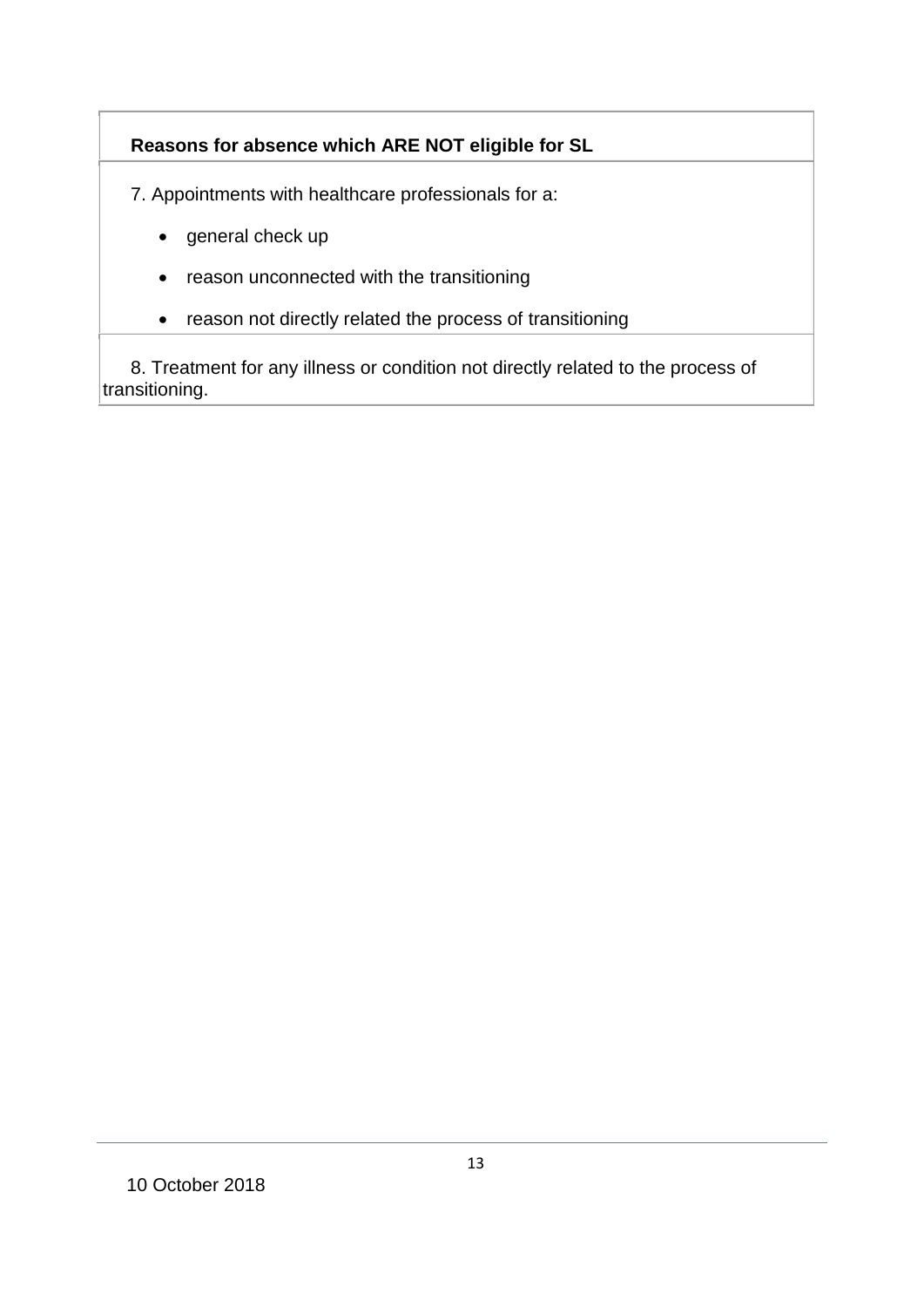# **Reasons for absence which ARE NOT eligible for SL**

7. Appointments with healthcare professionals for a:

- general check up
- reason unconnected with the transitioning
- reason not directly related the process of transitioning

8. Treatment for any illness or condition not directly related to the process of transitioning.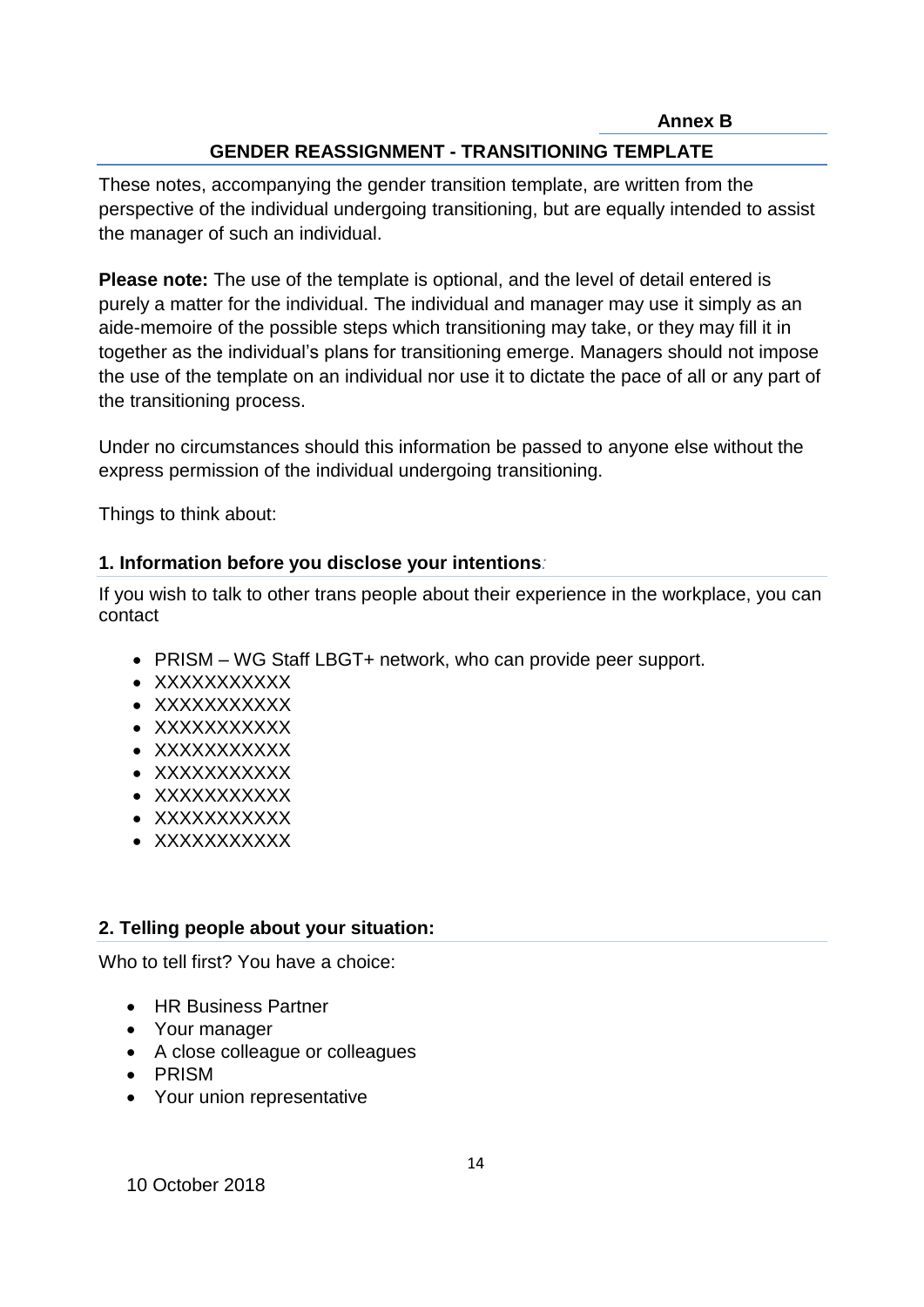**Annex B**

## **GENDER REASSIGNMENT - TRANSITIONING TEMPLATE**

These notes, accompanying the gender transition template, are written from the perspective of the individual undergoing transitioning, but are equally intended to assist the manager of such an individual.

**Please note:** The use of the template is optional, and the level of detail entered is purely a matter for the individual. The individual and manager may use it simply as an aide-memoire of the possible steps which transitioning may take, or they may fill it in together as the individual's plans for transitioning emerge. Managers should not impose the use of the template on an individual nor use it to dictate the pace of all or any part of the transitioning process.

Under no circumstances should this information be passed to anyone else without the express permission of the individual undergoing transitioning.

Things to think about:

## **1. Information before you disclose your intentions***:*

If you wish to talk to other trans people about their experience in the workplace, you can contact

- PRISM WG Staff LBGT+ network, who can provide peer support.
- XXXXXXXXXXX
- XXXXXXXXXXX
- XXXXXXXXXXX
- XXXXXXXXXXX
- XXXXXXXXXXX
- XXXXXXXXXXX
- XXXXXXXXXXX
- XXXXXXXXXXX

## **2. Telling people about your situation:**

Who to tell first? You have a choice:

- HR Business Partner
- Your manager
- A close colleague or colleagues
- PRISM
- Your union representative

10 October 2018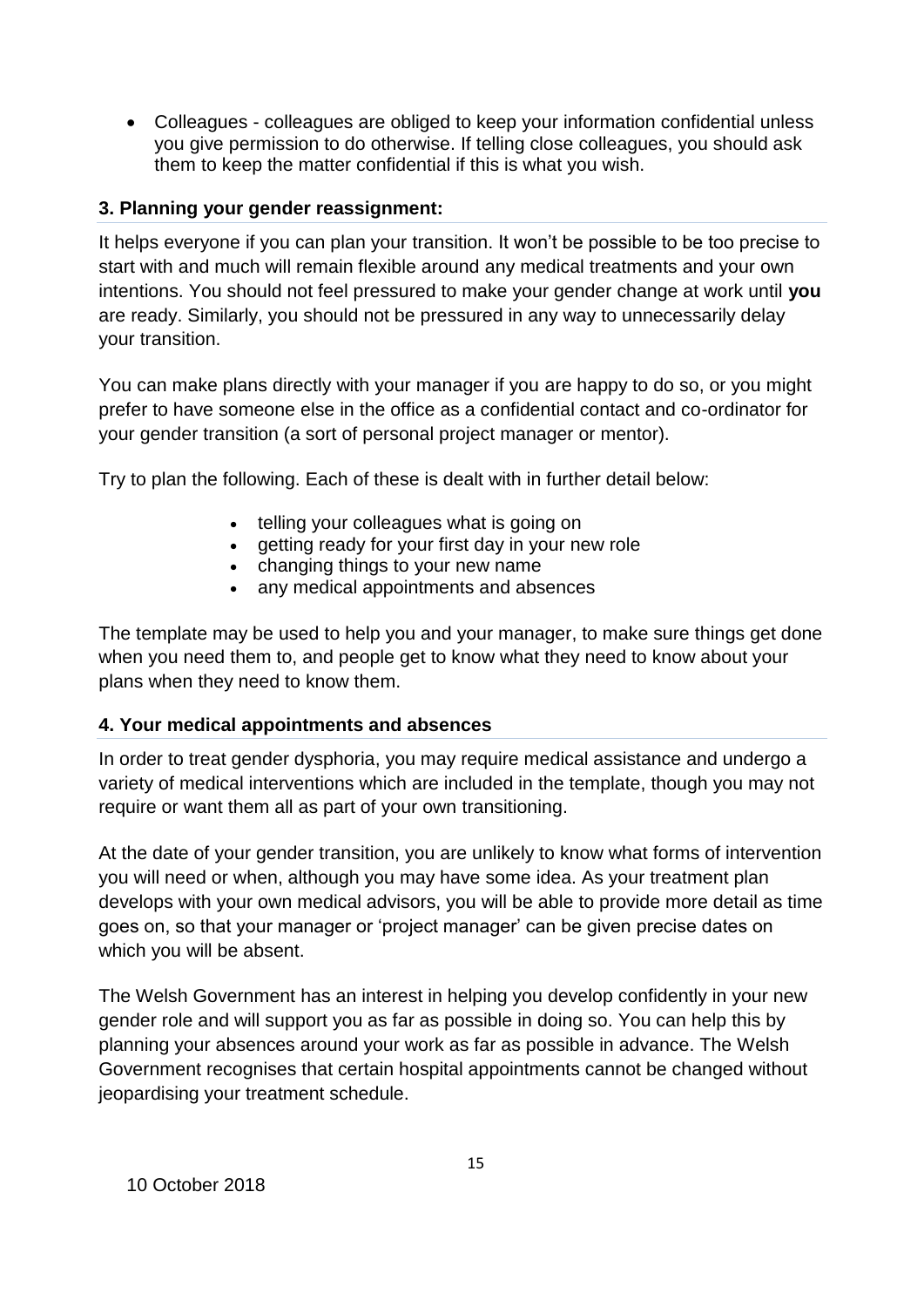Colleagues - colleagues are obliged to keep your information confidential unless you give permission to do otherwise. If telling close colleagues, you should ask them to keep the matter confidential if this is what you wish.

## **3. Planning your gender reassignment:**

It helps everyone if you can plan your transition. It won't be possible to be too precise to start with and much will remain flexible around any medical treatments and your own intentions. You should not feel pressured to make your gender change at work until **you**  are ready. Similarly, you should not be pressured in any way to unnecessarily delay your transition.

You can make plans directly with your manager if you are happy to do so, or you might prefer to have someone else in the office as a confidential contact and co-ordinator for your gender transition (a sort of personal project manager or mentor).

Try to plan the following. Each of these is dealt with in further detail below:

- telling your colleagues what is going on
- getting ready for your first day in your new role
- changing things to your new name
- any medical appointments and absences

The template may be used to help you and your manager, to make sure things get done when you need them to, and people get to know what they need to know about your plans when they need to know them.

## **4. Your medical appointments and absences**

In order to treat gender dysphoria, you may require medical assistance and undergo a variety of medical interventions which are included in the template, though you may not require or want them all as part of your own transitioning.

At the date of your gender transition, you are unlikely to know what forms of intervention you will need or when, although you may have some idea. As your treatment plan develops with your own medical advisors, you will be able to provide more detail as time goes on, so that your manager or 'project manager' can be given precise dates on which you will be absent.

The Welsh Government has an interest in helping you develop confidently in your new gender role and will support you as far as possible in doing so. You can help this by planning your absences around your work as far as possible in advance. The Welsh Government recognises that certain hospital appointments cannot be changed without jeopardising your treatment schedule.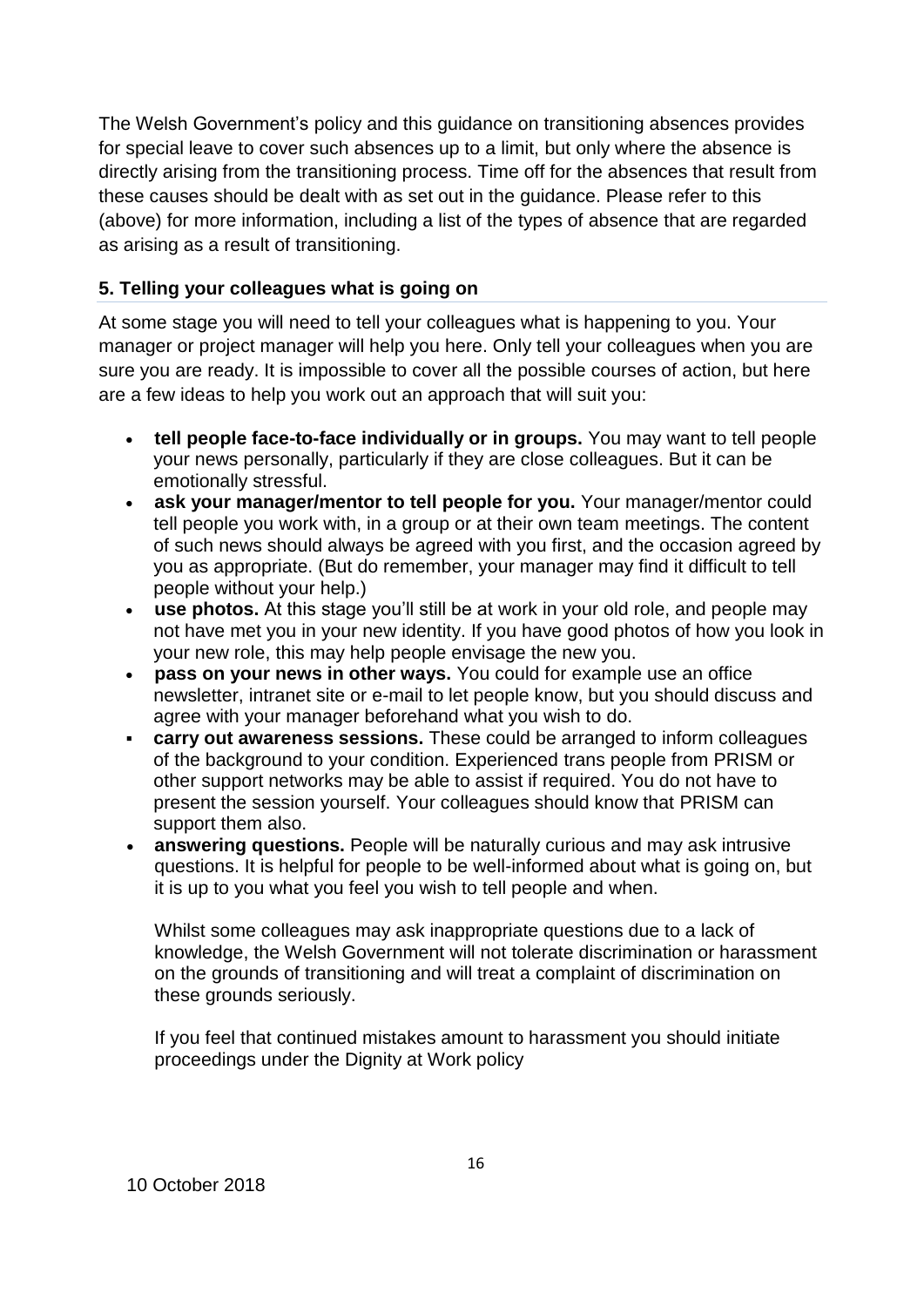The Welsh Government's policy and this guidance on transitioning absences provides for special leave to cover such absences up to a limit, but only where the absence is directly arising from the transitioning process. Time off for the absences that result from these causes should be dealt with as set out in the guidance. Please refer to this (above) for more information, including a list of the types of absence that are regarded as arising as a result of transitioning.

## **5. Telling your colleagues what is going on**

At some stage you will need to tell your colleagues what is happening to you. Your manager or project manager will help you here. Only tell your colleagues when you are sure you are ready. It is impossible to cover all the possible courses of action, but here are a few ideas to help you work out an approach that will suit you:

- **tell people face-to-face individually or in groups.** You may want to tell people your news personally, particularly if they are close colleagues. But it can be emotionally stressful.
- **ask your manager/mentor to tell people for you.** Your manager/mentor could tell people you work with, in a group or at their own team meetings. The content of such news should always be agreed with you first, and the occasion agreed by you as appropriate. (But do remember, your manager may find it difficult to tell people without your help.)
- **use photos.** At this stage you'll still be at work in your old role, and people may not have met you in your new identity. If you have good photos of how you look in your new role, this may help people envisage the new you.
- **pass on your news in other ways.** You could for example use an office newsletter, intranet site or e-mail to let people know, but you should discuss and agree with your manager beforehand what you wish to do.
- **carry out awareness sessions.** These could be arranged to inform colleagues of the background to your condition. Experienced trans people from PRISM or other support networks may be able to assist if required. You do not have to present the session yourself. Your colleagues should know that PRISM can support them also.
- **answering questions.** People will be naturally curious and may ask intrusive questions. It is helpful for people to be well-informed about what is going on, but it is up to you what you feel you wish to tell people and when.

Whilst some colleagues may ask inappropriate questions due to a lack of knowledge, the Welsh Government will not tolerate discrimination or harassment on the grounds of transitioning and will treat a complaint of discrimination on these grounds seriously.

If you feel that continued mistakes amount to harassment you should initiate proceedings under the Dignity at Work policy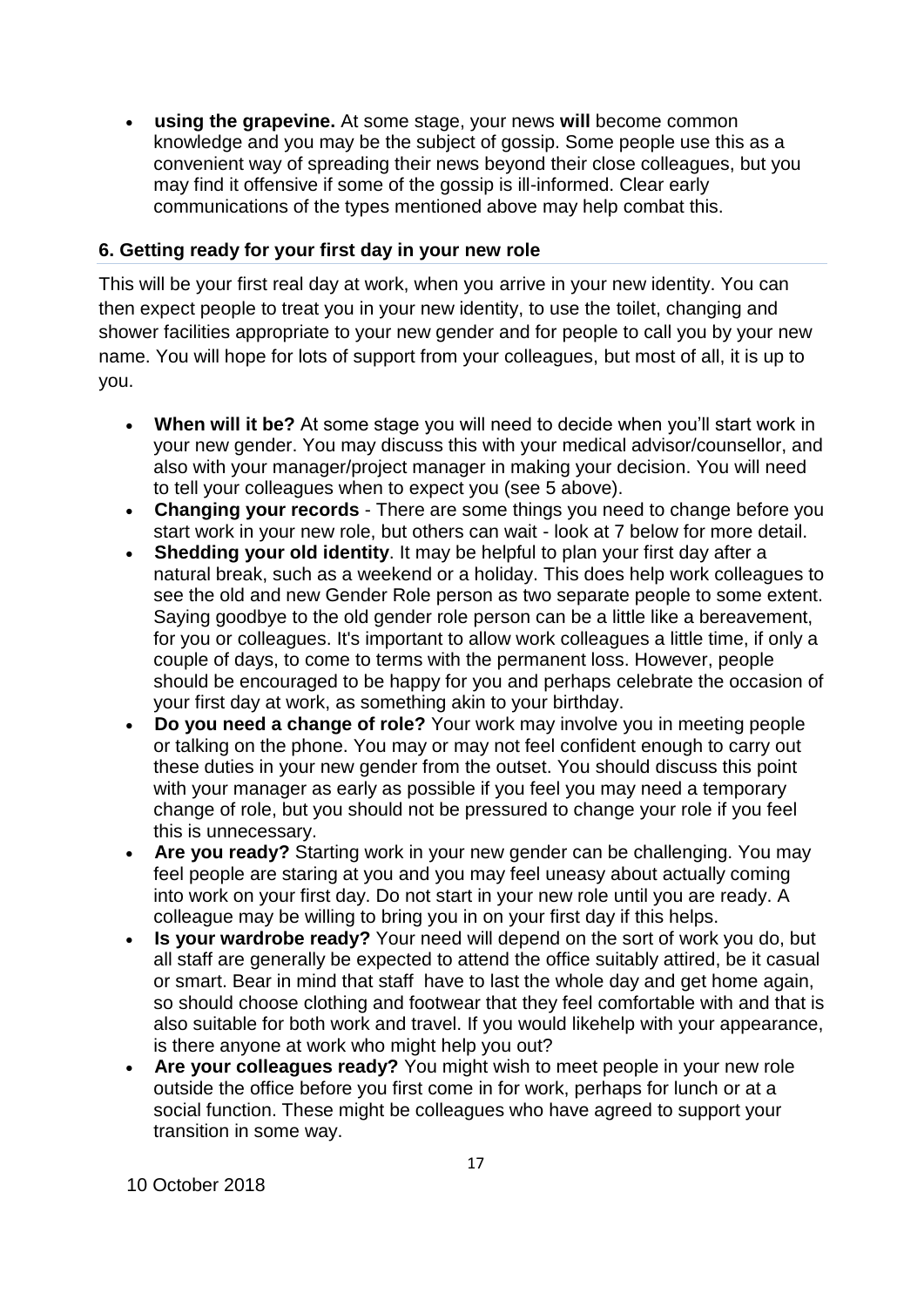**using the grapevine.** At some stage, your news **will** become common knowledge and you may be the subject of gossip. Some people use this as a convenient way of spreading their news beyond their close colleagues, but you may find it offensive if some of the gossip is ill-informed. Clear early communications of the types mentioned above may help combat this.

## **6. Getting ready for your first day in your new role**

This will be your first real day at work, when you arrive in your new identity. You can then expect people to treat you in your new identity, to use the toilet, changing and shower facilities appropriate to your new gender and for people to call you by your new name. You will hope for lots of support from your colleagues, but most of all, it is up to you.

- **When will it be?** At some stage you will need to decide when you'll start work in your new gender. You may discuss this with your medical advisor/counsellor, and also with your manager/project manager in making your decision. You will need to tell your colleagues when to expect you (see 5 above).
- **Changing your records** There are some things you need to change before you start work in your new role, but others can wait - look at 7 below for more detail.
- **Shedding your old identity**. It may be helpful to plan your first day after a natural break, such as a weekend or a holiday. This does help work colleagues to see the old and new Gender Role person as two separate people to some extent. Saying goodbye to the old gender role person can be a little like a bereavement, for you or colleagues. It's important to allow work colleagues a little time, if only a couple of days, to come to terms with the permanent loss. However, people should be encouraged to be happy for you and perhaps celebrate the occasion of your first day at work, as something akin to your birthday.
- **Do you need a change of role?** Your work may involve you in meeting people or talking on the phone. You may or may not feel confident enough to carry out these duties in your new gender from the outset. You should discuss this point with your manager as early as possible if you feel you may need a temporary change of role, but you should not be pressured to change your role if you feel this is unnecessary.
- **Are you ready?** Starting work in your new gender can be challenging. You may feel people are staring at you and you may feel uneasy about actually coming into work on your first day. Do not start in your new role until you are ready. A colleague may be willing to bring you in on your first day if this helps.
- **Is your wardrobe ready?** Your need will depend on the sort of work you do, but all staff are generally be expected to attend the office suitably attired, be it casual or smart. Bear in mind that staff have to last the whole day and get home again, so should choose clothing and footwear that they feel comfortable with and that is also suitable for both work and travel. If you would likehelp with your appearance, is there anyone at work who might help you out?
- **Are your colleagues ready?** You might wish to meet people in your new role outside the office before you first come in for work, perhaps for lunch or at a social function. These might be colleagues who have agreed to support your transition in some way.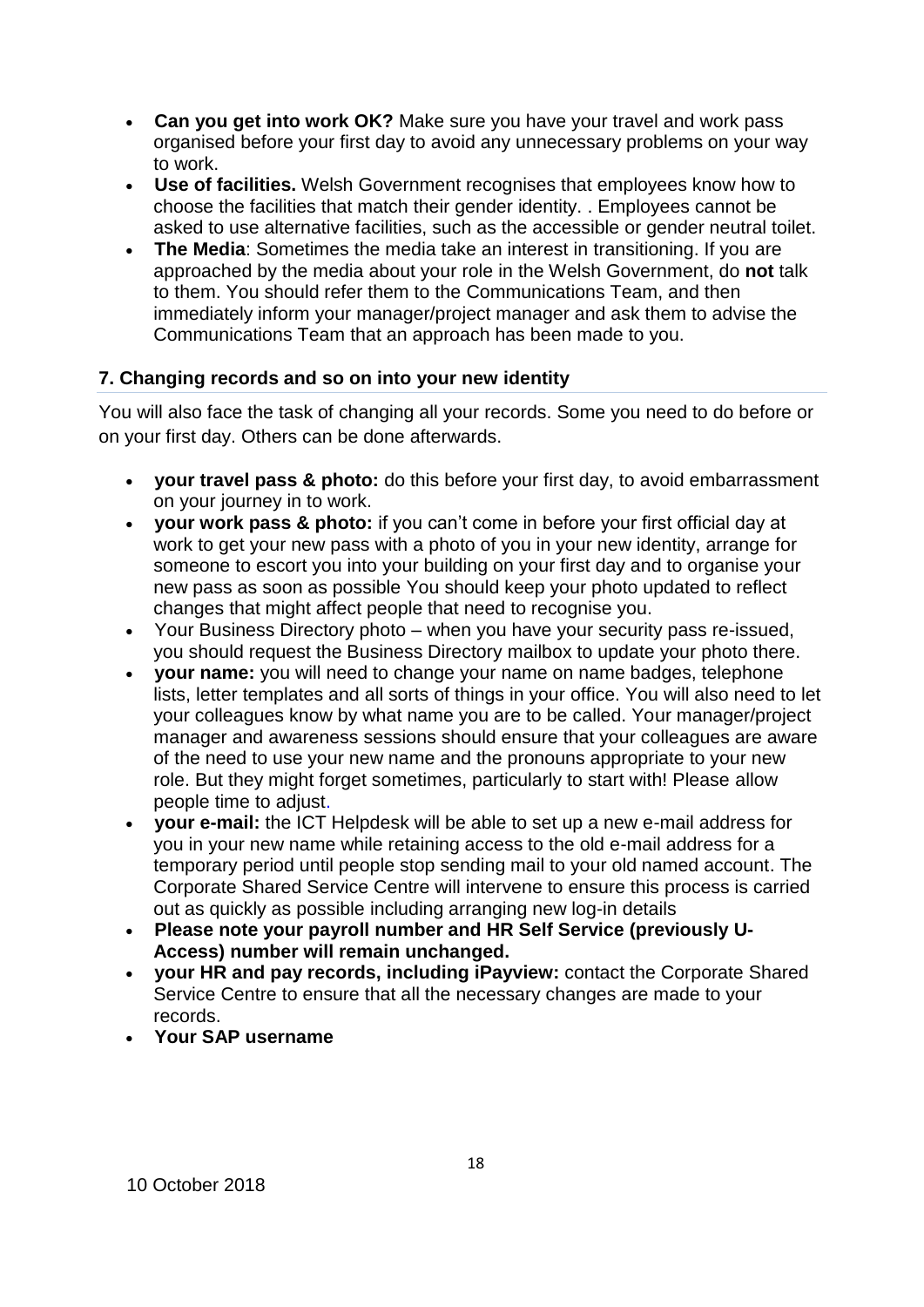- **Can you get into work OK?** Make sure you have your travel and work pass organised before your first day to avoid any unnecessary problems on your way to work.
- **Use of facilities.** Welsh Government recognises that employees know how to choose the facilities that match their gender identity. . Employees cannot be asked to use alternative facilities, such as the accessible or gender neutral toilet.
- **The Media**: Sometimes the media take an interest in transitioning. If you are approached by the media about your role in the Welsh Government, do **not** talk to them. You should refer them to the Communications Team, and then immediately inform your manager/project manager and ask them to advise the Communications Team that an approach has been made to you.

## **7. Changing records and so on into your new identity**

You will also face the task of changing all your records. Some you need to do before or on your first day. Others can be done afterwards.

- **your travel pass & photo:** do this before your first day, to avoid embarrassment on your journey in to work.
- **your work pass & photo:** if you can't come in before your first official day at work to get your new pass with a photo of you in your new identity, arrange for someone to escort you into your building on your first day and to organise your new pass as soon as possible You should keep your photo updated to reflect changes that might affect people that need to recognise you.
- Your Business Directory photo when you have your security pass re-issued, you should request the Business Directory mailbox to update your photo there.
- **your name:** you will need to change your name on name badges, telephone lists, letter templates and all sorts of things in your office. You will also need to let your colleagues know by what name you are to be called. Your manager/project manager and awareness sessions should ensure that your colleagues are aware of the need to use your new name and the pronouns appropriate to your new role. But they might forget sometimes, particularly to start with! Please allow people time to adjust.
- **your e-mail:** the ICT Helpdesk will be able to set up a new e-mail address for you in your new name while retaining access to the old e-mail address for a temporary period until people stop sending mail to your old named account. The Corporate Shared Service Centre will intervene to ensure this process is carried out as quickly as possible including arranging new log-in details
- **Please note your payroll number and HR Self Service (previously U-Access) number will remain unchanged.**
- **your HR and pay records, including iPayview:** contact the Corporate Shared Service Centre to ensure that all the necessary changes are made to your records.
- **Your SAP username**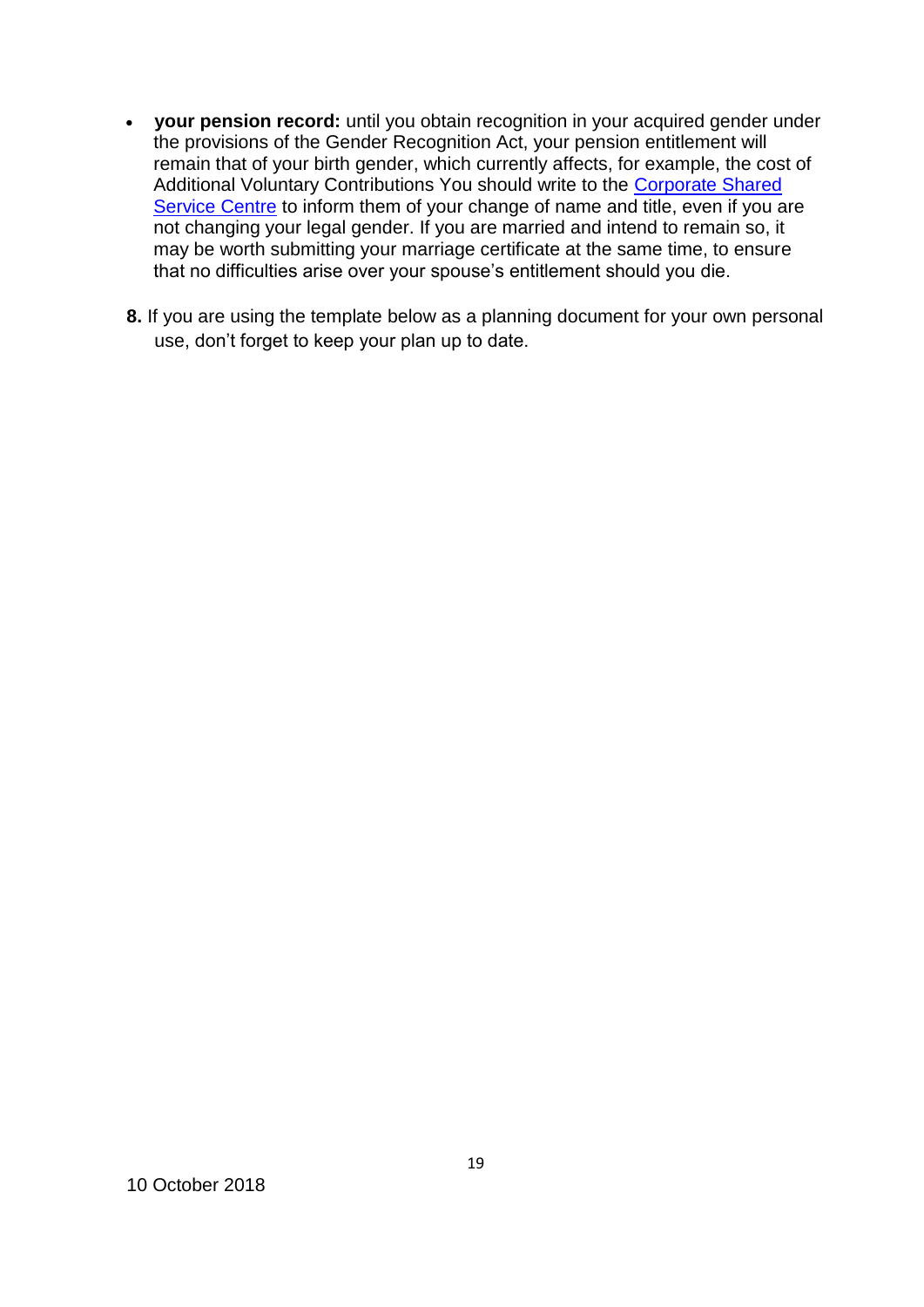- **your pension record:** until you obtain recognition in your acquired gender under the provisions of the Gender Recognition Act, your pension entitlement will remain that of your birth gender, which currently affects, for example, the cost of Additional Voluntary Contributions You should write to the [Corporate Shared](mailto:SharedServiceHelpdesk@gov.wales)  [Service Centre](mailto:SharedServiceHelpdesk@gov.wales) to inform them of your change of name and title, even if you are not changing your legal gender. If you are married and intend to remain so, it may be worth submitting your marriage certificate at the same time, to ensure that no difficulties arise over your spouse's entitlement should you die.
- **8.** If you are using the template below as a planning document for your own personal use, don't forget to keep your plan up to date.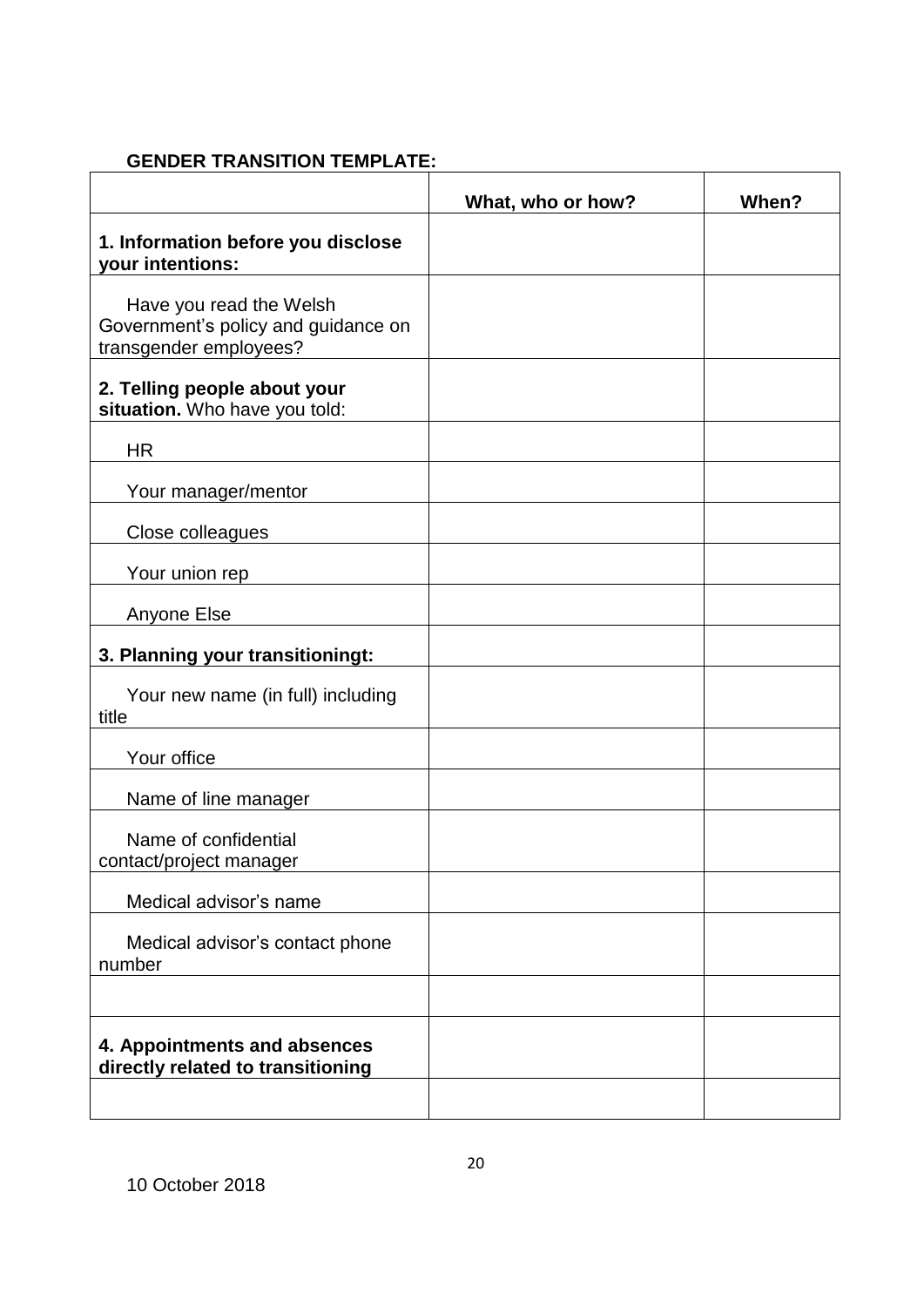## **GENDER TRANSITION TEMPLATE:**

|                                                                                          | What, who or how? | When? |
|------------------------------------------------------------------------------------------|-------------------|-------|
| 1. Information before you disclose<br>your intentions:                                   |                   |       |
| Have you read the Welsh<br>Government's policy and guidance on<br>transgender employees? |                   |       |
| 2. Telling people about your<br>situation. Who have you told:                            |                   |       |
| <b>HR</b>                                                                                |                   |       |
| Your manager/mentor                                                                      |                   |       |
| Close colleagues                                                                         |                   |       |
| Your union rep                                                                           |                   |       |
| Anyone Else                                                                              |                   |       |
| 3. Planning your transitioningt:                                                         |                   |       |
| Your new name (in full) including<br>title                                               |                   |       |
| Your office                                                                              |                   |       |
| Name of line manager                                                                     |                   |       |
| Name of confidential<br>contact/project manager                                          |                   |       |
| Medical advisor's name                                                                   |                   |       |
| Medical advisor's contact phone<br>number                                                |                   |       |
|                                                                                          |                   |       |
| 4. Appointments and absences<br>directly related to transitioning                        |                   |       |
|                                                                                          |                   |       |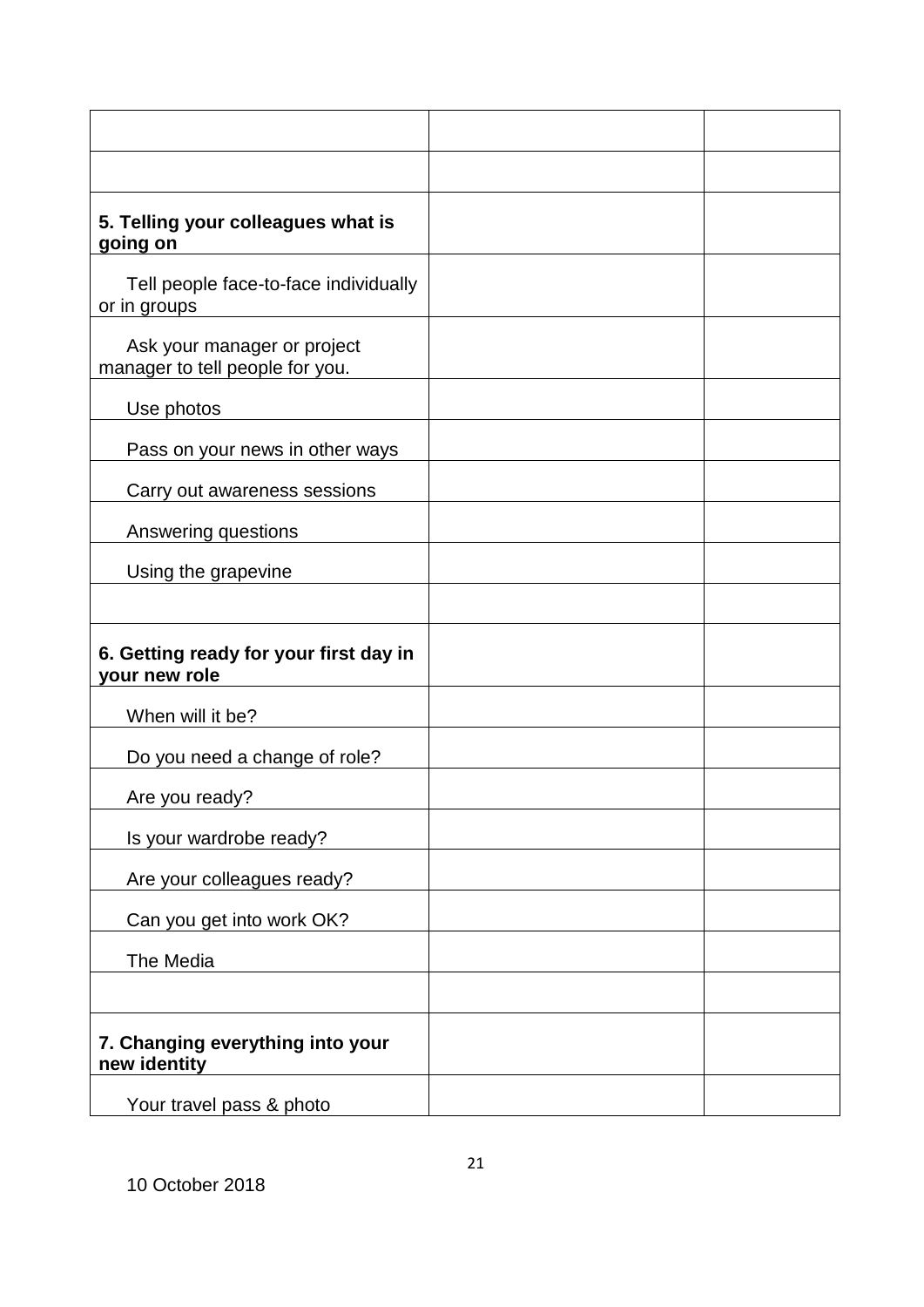| 5. Telling your colleagues what is<br>going on                 |  |
|----------------------------------------------------------------|--|
| Tell people face-to-face individually<br>or in groups          |  |
| Ask your manager or project<br>manager to tell people for you. |  |
| Use photos                                                     |  |
| Pass on your news in other ways                                |  |
| Carry out awareness sessions                                   |  |
| Answering questions                                            |  |
| Using the grapevine                                            |  |
|                                                                |  |
| 6. Getting ready for your first day in<br>your new role        |  |
| When will it be?                                               |  |
| Do you need a change of role?                                  |  |
| Are you ready?                                                 |  |
| Is your wardrobe ready?                                        |  |
| Are your colleagues ready?                                     |  |
| Can you get into work OK?                                      |  |
| The Media                                                      |  |
|                                                                |  |
| 7. Changing everything into your<br>new identity               |  |
| Your travel pass & photo                                       |  |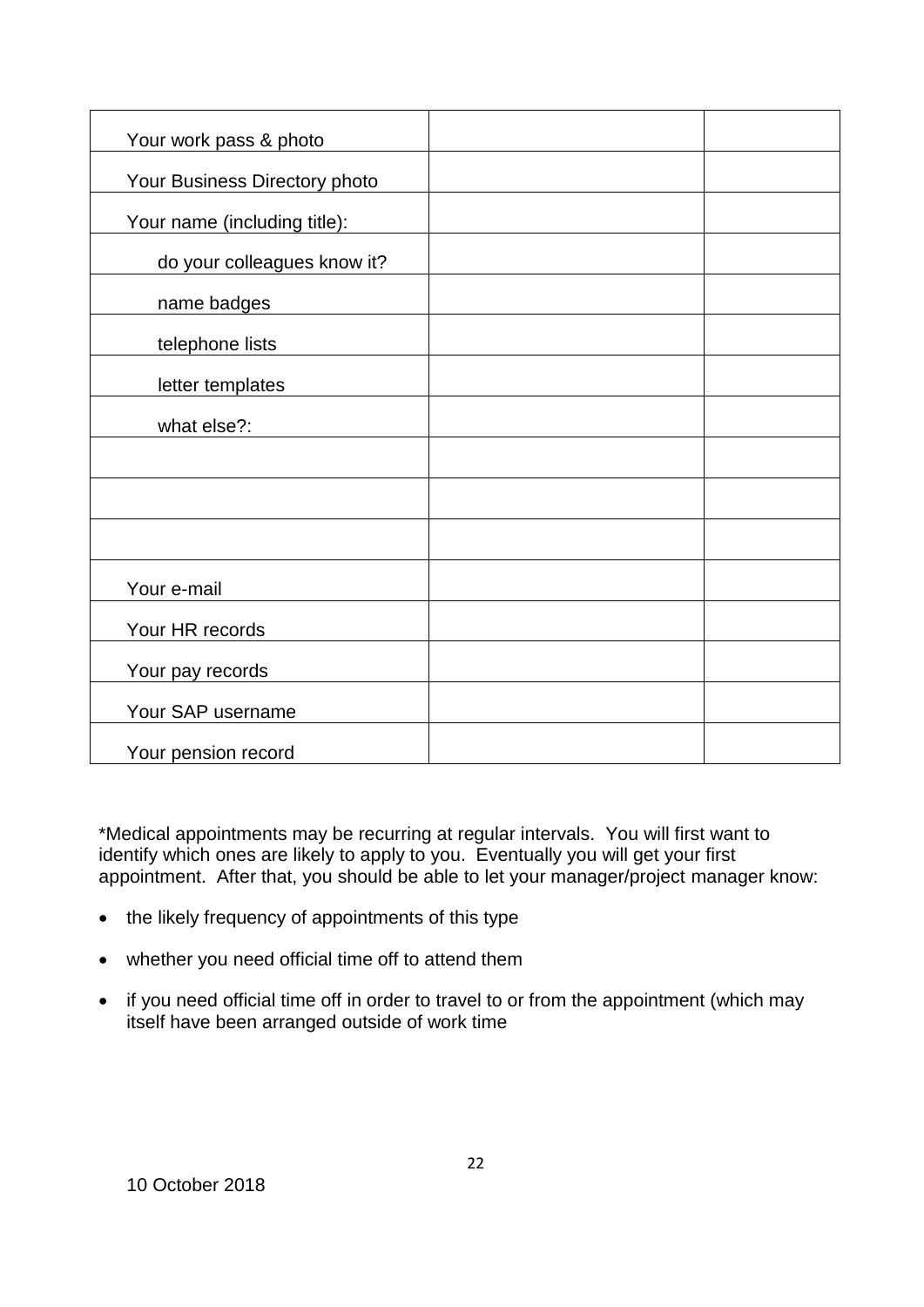| Your work pass & photo        |  |
|-------------------------------|--|
| Your Business Directory photo |  |
| Your name (including title):  |  |
| do your colleagues know it?   |  |
| name badges                   |  |
| telephone lists               |  |
| letter templates              |  |
| what else?:                   |  |
|                               |  |
|                               |  |
|                               |  |
| Your e-mail                   |  |
| Your HR records               |  |
|                               |  |
| Your pay records              |  |
| Your SAP username             |  |
| Your pension record           |  |

\*Medical appointments may be recurring at regular intervals. You will first want to identify which ones are likely to apply to you. Eventually you will get your first appointment. After that, you should be able to let your manager/project manager know:

- the likely frequency of appointments of this type
- whether you need official time off to attend them
- if you need official time off in order to travel to or from the appointment (which may itself have been arranged outside of work time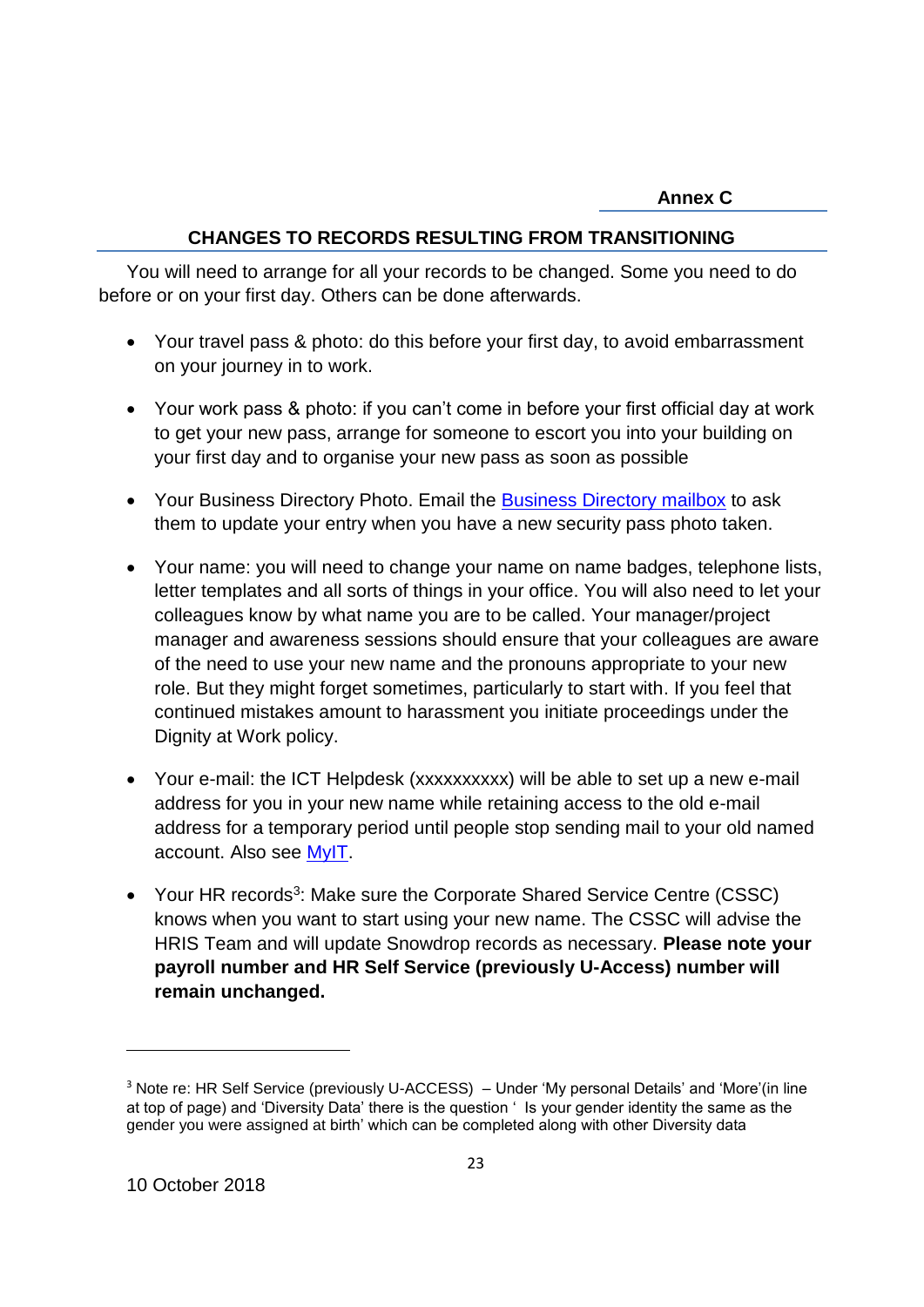### **CHANGES TO RECORDS RESULTING FROM TRANSITIONING**

You will need to arrange for all your records to be changed. Some you need to do before or on your first day. Others can be done afterwards.

- Your travel pass & photo: do this before your first day, to avoid embarrassment on your journey in to work.
- Your work pass & photo: if you can't come in before your first official day at work to get your new pass, arrange for someone to escort you into your building on your first day and to organise your new pass as soon as possible
- Your Business Directory Photo. Email the [Business Directory mailbox](mailto:businessdirectory3@gov.wales) to ask them to update your entry when you have a new security pass photo taken.
- Your name: you will need to change your name on name badges, telephone lists, letter templates and all sorts of things in your office. You will also need to let your colleagues know by what name you are to be called. Your manager/project manager and awareness sessions should ensure that your colleagues are aware of the need to use your new name and the pronouns appropriate to your new role. But they might forget sometimes, particularly to start with. If you feel that continued mistakes amount to harassment you initiate proceedings under the Dignity at Work policy.
- Your e-mail: the ICT Helpdesk (xxxxxxxxxx) will be able to set up a new e-mail address for you in your new name while retaining access to the old e-mail address for a temporary period until people stop sending mail to your old named account. Also see [MyIT.](https://welshgov-myit.onbmc.com/ux/myitapp/)
- Your HR records<sup>3</sup>: Make sure the Corporate Shared Service Centre (CSSC) knows when you want to start using your new name. The CSSC will advise the HRIS Team and will update Snowdrop records as necessary. **Please note your payroll number and HR Self Service (previously U-Access) number will remain unchanged.**

 $\overline{a}$ 

<sup>&</sup>lt;sup>3</sup> Note re: HR Self Service (previously U-ACCESS) – Under 'My personal Details' and 'More'(in line at top of page) and 'Diversity Data' there is the question ' Is your gender identity the same as the gender you were assigned at birth' which can be completed along with other Diversity data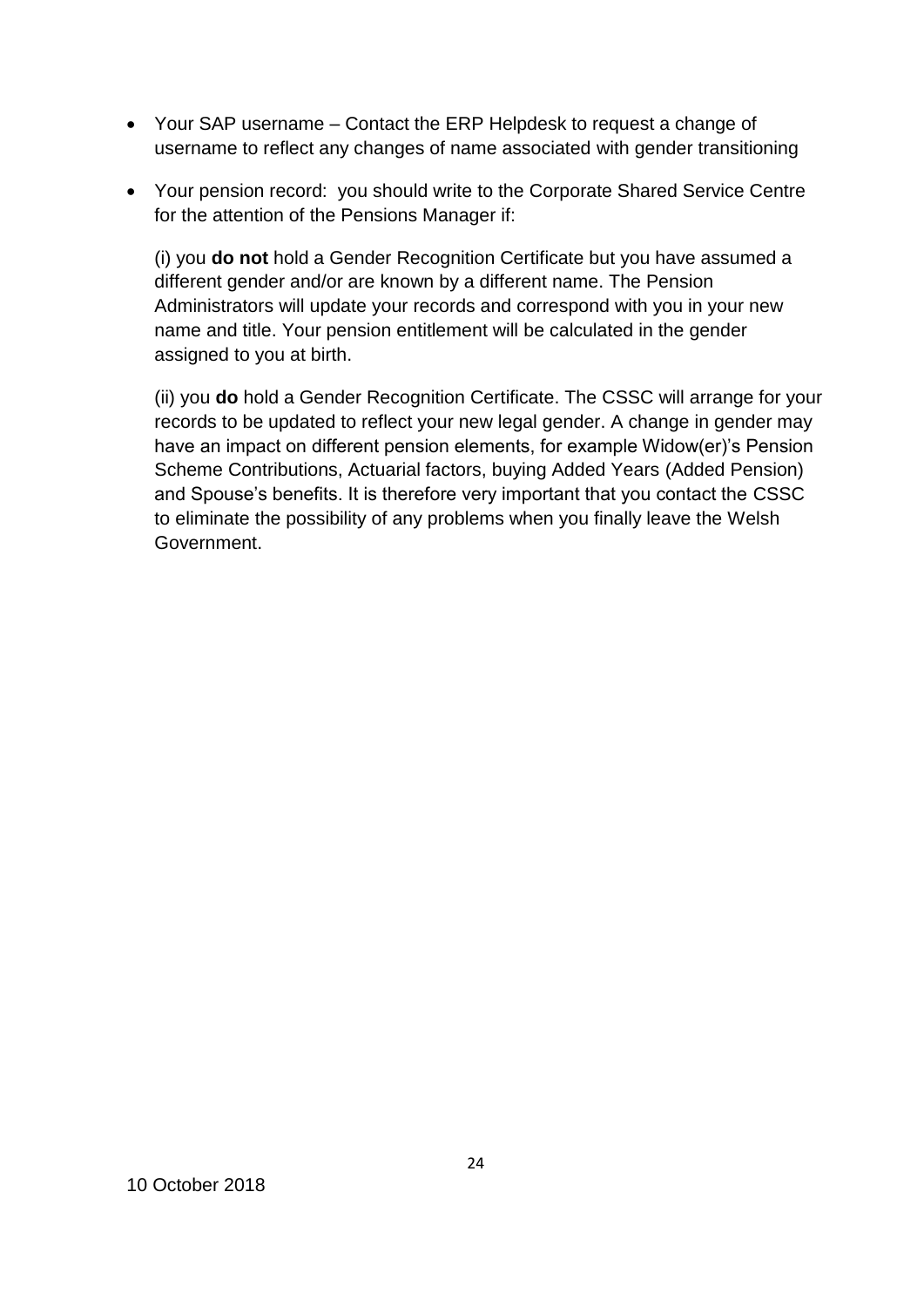- Your SAP username Contact the ERP Helpdesk to request a change of username to reflect any changes of name associated with gender transitioning
- Your pension record: you should write to the Corporate Shared Service Centre for the attention of the Pensions Manager if:

(i) you **do not** hold a Gender Recognition Certificate but you have assumed a different gender and/or are known by a different name. The Pension Administrators will update your records and correspond with you in your new name and title. Your pension entitlement will be calculated in the gender assigned to you at birth.

(ii) you **do** hold a Gender Recognition Certificate. The CSSC will arrange for your records to be updated to reflect your new legal gender. A change in gender may have an impact on different pension elements, for example Widow(er)'s Pension Scheme Contributions, Actuarial factors, buying Added Years (Added Pension) and Spouse's benefits. It is therefore very important that you contact the CSSC to eliminate the possibility of any problems when you finally leave the Welsh Government.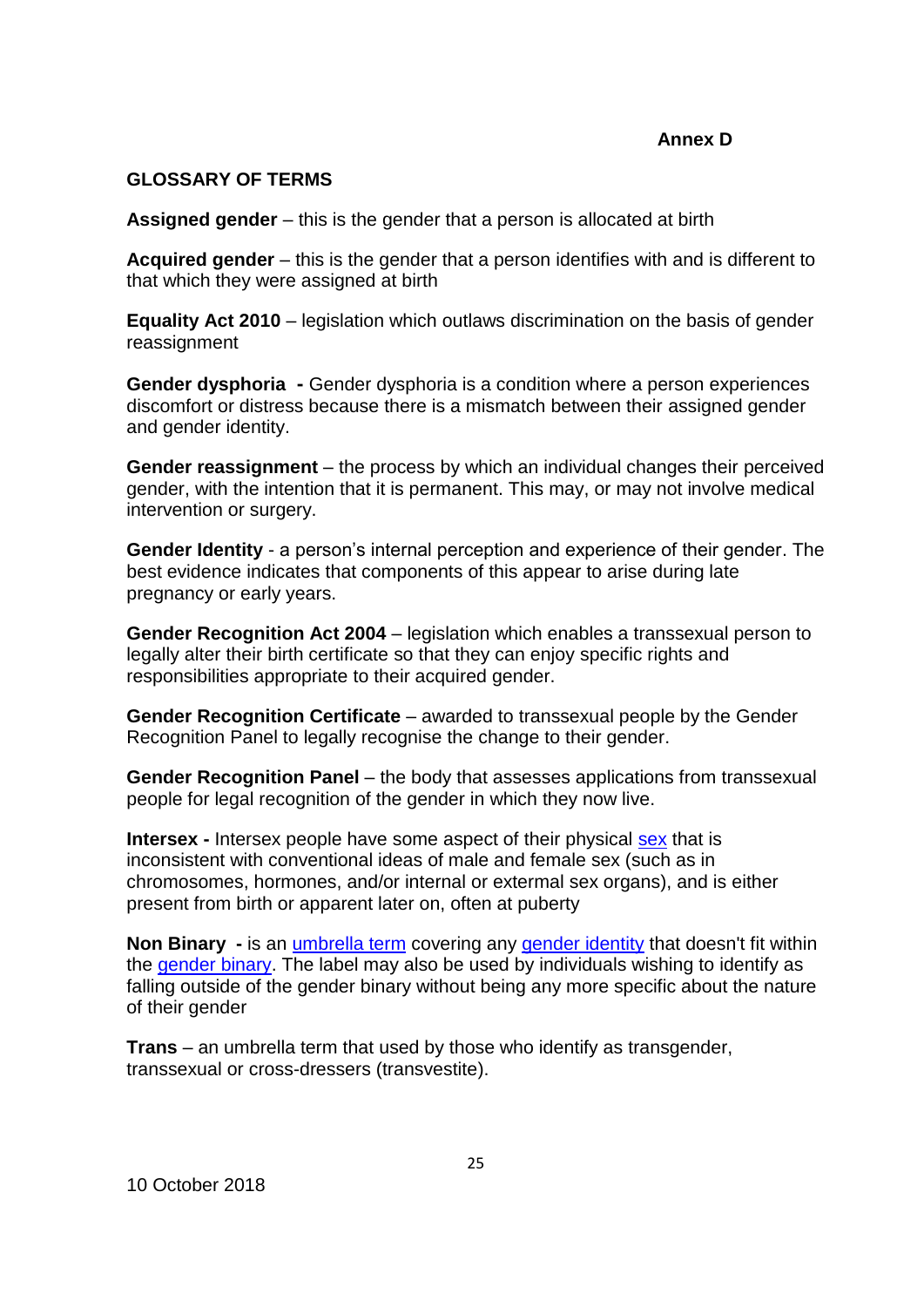### **GLOSSARY OF TERMS**

**Assigned gender** – this is the gender that a person is allocated at birth

**Acquired gender** – this is the gender that a person identifies with and is different to that which they were assigned at birth

**Equality Act 2010** – legislation which outlaws discrimination on the basis of gender reassignment

**Gender dysphoria -** Gender dysphoria is a condition where a person experiences discomfort or distress because there is a mismatch between their assigned gender and gender identity.

**Gender reassignment** – the process by which an individual changes their perceived gender, with the intention that it is permanent. This may, or may not involve medical intervention or surgery.

**Gender Identity** - a person's internal perception and experience of their gender. The best evidence indicates that components of this appear to arise during late pregnancy or early years.

**Gender Recognition Act 2004** – legislation which enables a transsexual person to legally alter their birth certificate so that they can enjoy specific rights and responsibilities appropriate to their acquired gender.

**Gender Recognition Certificate** – awarded to transsexual people by the Gender Recognition Panel to legally recognise the change to their gender.

**Gender Recognition Panel** – the body that assesses applications from transsexual people for legal recognition of the gender in which they now live.

**Intersex** - Intersex people have some aspect of their physical [sex](http://nonbinary.org/wiki/Sex) that is inconsistent with conventional ideas of male and female sex (such as in chromosomes, hormones, and/or internal or extermal sex organs), and is either present from birth or apparent later on, often at puberty

**Non Binary -** is an [umbrella term](http://www.nonbinary.org/wiki/Umbrella_term) covering any [gender identity](http://www.nonbinary.org/wiki/Gender_identity) that doesn't fit within the [gender binary.](http://www.nonbinary.org/wiki/Gender_binary) The label may also be used by individuals wishing to identify as falling outside of the gender binary without being any more specific about the nature of their gender

**Trans** – an umbrella term that used by those who identify as transgender, transsexual or cross-dressers (transvestite).